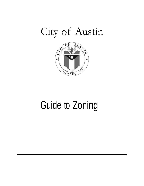# City of Austin



# Guide to Zoning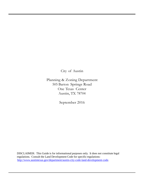City of Austin

Planning & Zoning Department 505 Barton Springs Road One Texas Center Austin, TX 78704

September 2016

DISCLAIMER: This Guide is for informational purposes only. It does not constitute legal regulations. Consult the Land Development Code for specific regulations: [http://www.austintexas.gov/department/austin-city-code-land-development-code.](http://www.austintexas.gov/department/austin-city-code-land-development-code)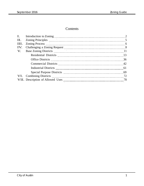#### Contents

| II.  |    |
|------|----|
| III. |    |
| IV.  |    |
| V.   |    |
|      | 13 |
|      |    |
|      | 42 |
|      |    |
|      |    |
|      |    |
|      |    |
|      |    |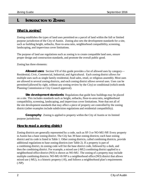#### **I. INTRODUCTION TO ZONING**

#### **What is zoning?**

Zoning establishes the types of land uses permitted on a parcel of land within the full or limited purpose jurisdiction of the City of Austin. Zoning also sets the development standards for a site, such as building height, setbacks, floor-to-area ratio, neighborhood compatibility, screening, landscaping, and impervious cover limitations.

The purpose of land use regulations such as zoning is to create compatible land uses, ensure proper design and construction standards, and promote the overall public good.

Zoning has three elements:

**Allowed uses:** Section VII of this guide provides a list of allowed uses by category— Residential, Civic, Commercial, Industrial, and Agricultural. Each zoning district allows for multiple uses such as single family residential, food sales, retail, or religious assembly. Most uses are allowed in several zoning districts, and each zoning district allows several uses. Uses can be permitted (allowed by right, without any zoning review by the City) or conditional (which needs Planning Commission or City Council approval).

**Site development standards:** Regulations that guide how buildings may be placed on a site. This includes standards such as height, setbacks, floor-to-area ratio, neighborhood compatibility, screening, landscaping, and impervious cover limitations. Note that not all of the site development standards that may affect a piece of property are controlled by the zoning district (other examples include subdivision regulations and residential compatibility).

**Geography**: Zoning is applied to property within the City of Austin or its limited purpose jurisdiction.

#### **How to read a zoning district**

Zoning districts are generally represented by a code, such as SF-3 or NO-MU-NP. Every property in Austin has a base zoning district. The City has 39 base zoning districts; each base zoning district and its code is listed in Table 1. Other zoning districts, called combining districts, provide additional regulations to base zoning districts (see Table 2). If a property is part of a combining district, its zoning code will list the base district code, followed by a dash, and then the combining district. For example, a mixed use (-MU) combining district applied to a neighborhood office district (NO) is shown as NO-MU. The zoning of a property may include multiple combining districts: NO-MU-H-NP is a neighborhood office (NO) district that allows mixed use (-MU), is a historic property (-H), and follows a neighborhood plan's requirements (-NP).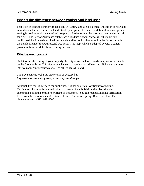#### **What is the difference between zoning and land use?**

People often confuse zoning with land use. In Austin, land use is a general indication of how land is used—residential, commercial, industrial, open space, etc. Land use defines broad categories; zoning is used to implement the land use plan. It further refines the permitted uses and standards for a site. The City of Austin has established a land use planning process with significant public participation to determine how land should be used both now and in the future through the development of the Future Land Use Map. This map, which is adopted by City Council, provides a framework for future zoning decisions.

#### **What is my zoning?**

To determine the zoning of your property, the City of Austin has created a map viewer available on the City's website. This viewer enables you to type in your address and click on a button to retrieve zoning information (as well as other City GIS data).

The Development Web Map viewer can be accessed at: *<http://www.austintexas.gov/department/gis-and-maps>***.**

Although this tool is intended for public use, it is not an official verification of zoning. Verification of zoning is required prior to issuance of a subdivision, site plan, site plan exemption, building permit or certificate of occupancy. You can request a zoning verification letter from the Development Assistance Center, 505 Barton Springs Road, 1st Floor. The phone number is (512) 978-4000.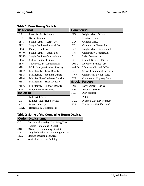| <b>Residential</b> |                               | Commercial |                                    |
|--------------------|-------------------------------|------------|------------------------------------|
| LA                 | Lake Austin Residence         | NO.        | Neighborhood Office                |
| <b>RR</b>          | <b>Rural Residence</b>        | LO         | Limited Office                     |
| $SF-1$             | Single Family—Large Lot       | GO         | General Office                     |
| $SF-2$             | Single Family-Standard Lot    | <b>CR</b>  | <b>Commercial Recreation</b>       |
| $SF-3$             | Family Residence              | LR         | Neighborhood Commercial            |
| SF-4A              | Single Family-Small Lot       | <b>GR</b>  | <b>Community Commercial</b>        |
| $SF-4B$            | Single Family-Condominium     | L          | Lake Commercial                    |
| $SF-5$             | <b>Urban Family Residence</b> | <b>CBD</b> | <b>Central Business District</b>   |
| $SF-6$             | Townhouse & Condominium       | <b>DMU</b> | Downtown Mixed Use                 |
| $MF-1$             | Multifamily -Limited Density  | W/LO       | Warehouse/limited Office           |
| $MF-2$             | Multifamily-Low Density       | CS         | <b>General Commercial Services</b> |
| $MF-3$             | Multifamily-Medium Density    | $CS-1$     | Commercial-Liquor Sales            |
| $MF-4$             | Multifamily-Moderate Density  | <b>CH</b>  | Commercial Highway Serv            |
| $MF-5$             | Multifamily—High Density      |            | <b>Special Purpose</b>             |
| $MF-6$             | Multifamily—Highest Density   | DR         | Development Reserve                |
| МH                 | Mobile Home Residence         | AV         | <b>Aviation Services</b>           |
| <b>Industrial</b>  |                               | AG         | Agricultural                       |
| IP                 | <b>Industrial Park</b>        | P          | Public                             |
| LI                 | Limited Industrial Services   | <b>PUD</b> | Planned Unit Development           |
| MI                 | Major Industry                | <b>TN</b>  | <b>Traditional Neighborhood</b>    |
| R&D                | Research & Development        |            |                                    |

**Table 1. Base Zoning Districts**

#### **Table 2**. **Some of the Combining Zoning Districts**

|       | Code District name                            |
|-------|-----------------------------------------------|
| $-CO$ | <b>Conditional Overlay Combining District</b> |
| -H    | Historic Combining District                   |
| -MU   | Mixed Use Combining District                  |
| $-NP$ | Neighborhood Plan Combining District          |
| -PDA  | Planned Development Area                      |
| -V    | Vertical Mixed Use Building                   |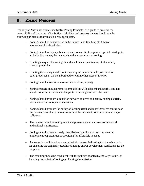#### **II. ZONING PRINCIPLES**

The City of Austin has established twelve Zoning Principles as a guide to preserve the compatibility of land uses. City Staff, stakeholders and property owners should use the following principles to evaluate all zoning requests.

- Zoning should be consistent with the Future Land Use Map (FLUM) or adopted neighborhood plan.
- Zoning should satisfy a public need and not constitute a grant of special privilege to an individual owner; the request should not result in spot zoning.
- Granting a request for zoning should result in an equal treatment of similarly situated properties.
- Granting the zoning should not in any way set an undesirable precedent for other properties in the neighborhood or within other areas of the city.
- Zoning should allow for a reasonable use of the property.
- Zoning changes should promote compatibility with adjacent and nearby uses and should not result in detrimental impacts to the neighborhood character.
- Zoning should promote a transition between adjacent and nearby zoning districts, land uses, and development intensities.
- Zoning should promote the policy of locating retail and more intensive zoning near the intersections of arterial roadways or at the intersections of arterials and major collectors.
- The request should serve to protect and preserve places and areas of historical and cultural significance.
- Zoning should promote clearly identified community goals such as creating employment opportunities or providing for affordable housing.
- A change in conditions has occurred within the area indicating that there is a basis for changing the originally established zoning and/or development restrictions for the property.
- The rezoning should be consistent with the policies adopted by the City Council or Planning Commission/Zoning and Platting Commission.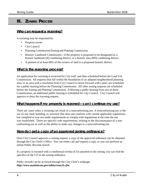#### **III. ZONING PROCESS**

#### **Who can request a rezoning?**

A rezoning may be requested by:

- Property owner
- City Council
- Planning Commission/Zoning and Platting Commission
- Historic Landmark Commission—if the property is proposed to be designated as a historic landmark (H) combining district, or a historic area (HD) combining district.
- A petition of at least 60% of the owners of land in a proposed historic district.

#### **What is the rezoning process?**

An application for rezoning is reviewed by City staff, and then scheduled before the Land Use Commission. All requests that fall within the boundaries of an adopted neighborhood planning area, or an area with a resolution from City Council to move forward with a plan, are scheduled for a public hearing before the Planning Commission. All other zoning requests are scheduled before the Zoning and Platting Commission. Following a public hearing from one of these Commissions, an additional public hearing is scheduled for City Council. City Council will approve or deny the rezoning request.

#### **What happens if my property is rezoned—can I continue my use?**

There are cases when a rezoning can result in a nonconforming use. A nonconforming use is the use of any land, building, or structure that does not conform with current applicable regulations, but complied or was not under requirements to comply with regulations at the time the use was established. There are specific code requirements, relating to the discontinuance of a nonconforming use as well as the ability to make any changes to a nonconforming use.

#### **How do I get a copy of an approved zoning ordinance?**

Once City Council approves a zoning request, a copy of the approved ordinance can be obtained through the City Clerk's Office. You can either call and request a copy, or you can perform an online Public Records search.

If a property is rezoned with a conditional overlay (CO) attached to the zoning, you can find the specifics of the CO in the zoning ordinance.

Public records can be accessed through the City Clerk's webpage: *http://www.austintexas.gov/edims/search.cfm.*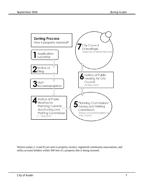

Notices (steps 2, 4 and 6) are sent to property owners, registered community associations, and utility account holders within 500 feet of a property that is being rezoned.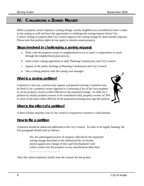#### **IV. CHALLENGING <sup>A</sup> ZONING REQUEST**

When a property owner requests a zoning change, nearby neighbors are considered to have a stake in the zoning as well and have the opportunity to challenge the zoning request before City Council. Doing so requires that City Council approve the zoning change by three-fourths majority. Please note that petition rights do not apply to interim-zoned property.

#### **Steps involved in challenging a zoning request:**

- a. Work with the property owner or neighborhood to try to reach a compromise, or work through the neighborhood plan process.
- b. Send a letter stating opposition to staff, Planning Commission, and City Council.
- c. Appear at the public hearings at Planning Commission and City Council.
- d. File a zoning petition with the zoning case manager.

#### **What is a zoning petition?**

A petition is one way a person may oppose a proposed rezoning. A petition may be filed (1) by a property owner opposed to a rezoning of his of her own property or (2) by property owners within 200 feet of the proposed change. In order for a petition by nearby property owners to be considered valid, property owners of 20% or more of the land within 200 feet of the proposed rezoning must sign the petition.



#### **What is the effect of a petition?**

A three-fourths majority vote of city council is required to overturn a valid petition.

#### **How to file a petition**

A petition should be dated and addressed to the City Council. In order to be legally binding, the first paragraph should read as follows:

> We, the undersigned owners of property affected by the requested zoning change described in the referenced file, do hereby protest against any change of the Land Development Code which would zone the property to any classification other than

After this initial statement, briefly state the reasons for the protest.

.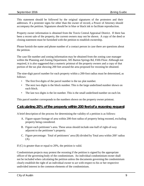This statement should be followed by the original signatures of the protesters and their addresses. If a protester signs for other than the owner of record, a Power of Attorney should accompany the petition. Signatures should be in blue or black ink to facilitate reproduction.

Property owner information is obtained from the Travis Central Appraisal District. If there has been a recent sale of the property, the current owners may not be shown. A copy of the deed or closing statement must be furnished with the petition to establish ownership.

Please furnish the name and phone number of a contact person in case there are questions about the petition.

The case file number and zoning information may be obtained from the zoning case manager within the Planning and Zoning Department, 505 Barton Springs Rd, Fifth Floor. Although not required, it is also suggested that a numeric printout of the property owners and a copy of that portion of the tax plat showing 200 feet around the area proposed for rezoning be obtained.

The nine-digit parcel number for each property within a 200-foot radius must be determined, as follows:

- The first five digits of the parcel number is the tax plat number.
- The next two digits is the block number. This is the large underlined number shown on each block.
- The last two digits is the lot number. This is the small underlined number on each lot.

This parcel number corresponds to the numbers shown on the property owner printout.

#### **Calculating 20% of the property within 200 feet of a rezoning request**

A brief description of the process for determining the validity of a petition is as follows:

- A. Figure square footage of area within 200-foot radius of property being rezoned, excluding property being considered.
- B. Figure each petitioner's area. These areas should include one-half of right-of-way adjacent to the petitioner's property.
- C. Figure percentage: Total of petitioners' area (B) divided by Total area within 200' radius (A).

If (C) is greater than or equal to 20%, the petition is valid.

Condominium projects may protest the rezoning if the petition is signed by the appropriate officer of the governing body of the condominium. An individual condominium owner shall not be included when calculating the petition unless the documents governing the condominium clearly establish the right of an individual owner to act with respect to his or her respective undivided interest in the common elements of the condominium.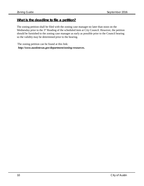#### **What is the deadline to file a petition?**

The zoning petition shall be filed with the zoning case manager no later than noon on the Wednesday prior to the 3<sup>rd</sup> Reading of the scheduled item at City Council. However, the petition should be furnished to the zoning case manager as early as possible prior to the Council hearing so the validity may be determined prior to the hearing.

 The zoning petition can be found at this link: *http://www.austintexas.gov/department/zoning-resources.*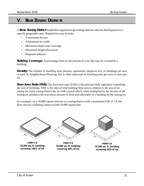#### **V. BASE ZONING DISTRICTS**

A **Base Zoning District** establishes regulations governing land use and site development in a specific geographic area. Regulations may include:

- A minimum lot size
- A minimum lot width
- Maximum impervious coverage
- Maximum height allowances
- Required setbacks

**Building Coverage**: A percentage limit on the amount of a lot that may be covered by a building.

**Density:** The number of dwelling units (houses, apartments, duplexes etc), or buildings per unit of land. In Neighborhood Planning, this is often expressed as dwelling units per acre or units per lot.

**Floor Area Ratio (FAR):** The floor area ratio (FAR) is the principal bulk regulation controlling the size of buildings. FAR is the ratio of total building floor area in relation to the area of its zoning lot. Each zoning district has an FAR control which, when multiplied by the lot area of the zoning lot, produces the maximum amount of floor area allowable in a building on the zoning lot.

For example, on a 10,000 square-foot lot in a zoning district with a maximum FAR of 1.0, the floor area of a building cannot exceed 10,000 square feet.



**FAR=1.0** 10,000 sq. ft. building covering 100% of lot



**FAR=1.0** 10,000 sq. ft. building covering 50% of lot



**FAR=1.0** 10,000 sq. ft. building covering 25% of lot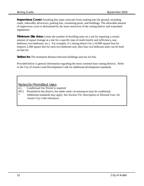**Impervious Cover:** Anything that stops rainwater from soaking into the ground, including roads, sidewalks, driveways, parking lots, swimming pools, and buildings. The allowable amount of impervious cover is determined by the more restrictive of the zoning district and watershed regulations.

**Minimum Site Area:** Limits the number of dwelling units on a site by requiring a certain amount of square footage at a site for a specific type of multi-family unit (efficiency, onebedroom, two-bedroom, etc.). For example, if a zoning district for a 10,000 square foot lot requires 2,500 square feet for each two-bedroom unit, then four two-bedroom units can be built on that lot.

**Setbacks:** The minimum distance between buildings and any lot line.

Provided below is general information regarding the most common base zoning districts. Refer to the City of Austin Land Development Code for additional development standards.

Notes for Permitted Uses

- (c) Conditional Use Permit is required
- (PC) Permitted in the district, but under some circumstances may be conditional
- \* Additional standards may apply. See Section VII, Description of Allowed Uses, for Austin City Code references.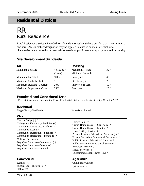### **Residential Districts**

### RR Rural Residence

Rural Residence district is intended for a low density residential use on a lot that is a minimum of one acre. An RR district designation may be applied to a use in an area for which rural characteristics are desired or an area whose terrain or public service capacity require low density.

| Lot                       |                    | Massing            |                 |
|---------------------------|--------------------|--------------------|-----------------|
| Minimum Lot Size          | $43,560$ sq ft     | Maximum Height     | 35 ft           |
|                           | $(1 \text{ acre})$ | Minimum Setbacks   |                 |
| Minimum Lot Width         | $100$ ft           | Front yard         | 40 ft           |
| Maximum Units Per Lot     |                    | Street side yard   | $25 \text{ ft}$ |
| Maximum Building Coverage | 20%                | Interior side yard | $10$ ft         |
| Maximum Impervious Cover  | 25%                | Rear yard          | $20$ ft         |

#### **Site Development Standards**

#### **Permitted and Conditional Uses**

† For detail on marked uses in the Rural Residential district, see the Austin City Code 25-2-552.

#### **Residential**

| Single-Family Residential <sup>†*</sup>                                                                                                                                                                                                                                                                                            | <b>Short-Term Rental</b>                                                                                                                                                                                                                                                                                                                                                           |
|------------------------------------------------------------------------------------------------------------------------------------------------------------------------------------------------------------------------------------------------------------------------------------------------------------------------------------|------------------------------------------------------------------------------------------------------------------------------------------------------------------------------------------------------------------------------------------------------------------------------------------------------------------------------------------------------------------------------------|
| <b>Civic</b>                                                                                                                                                                                                                                                                                                                       |                                                                                                                                                                                                                                                                                                                                                                                    |
| Club or Lodge $(c)$ *<br>College and University Facilities (c)<br>Communication Service Facilities *<br>Community Events *<br>Community Recreation—Public $(c)$ *<br>Community Recreation—Private (c) *<br>Cultural Services (c)<br>Day Care Services—Commercial (c)<br>Day Care Services—General (c)<br>Day Care Services—Limited | Family Home *<br>Group Home Class I—General $(c)$ *<br>Group Home Class I-Limited *<br>Local Utility Services (c)<br>Private Primary Educational Services (c) *<br>Private Secondary Educational Services (c) *<br>Public Primary Educational Services *<br>Public Secondary Educational Services *<br>Religious Assembly<br>Safety Services (c)<br>Telecommunication Tower (PC) * |
| Commercial                                                                                                                                                                                                                                                                                                                         | Agricultural                                                                                                                                                                                                                                                                                                                                                                       |
| Kennels $(c)$<br>Special Use—Historic (c) *<br>Stables (c)                                                                                                                                                                                                                                                                         | <b>Community Garden</b><br>Urban Farm *                                                                                                                                                                                                                                                                                                                                            |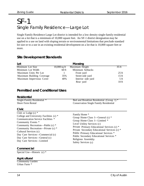### SF-1 Single Family Residence—Large Lot

Single Family Residence Large Lot district is intended for a low density single-family residential use on a lot that is a minimum of 10,000 square feet. An SF-1 district designation may be applied to a use on land with sloping terrain or environmental limitations that preclude standard lot size or to a use in an existing residential development on a lot that is 10,000 square feet or more.

#### **Site Development Standards**

| Lot                       |                | Massing            |                  |
|---------------------------|----------------|--------------------|------------------|
| Minimum Lot Size          | $10,000$ sq ft | Maximum Height     | 35 ft            |
| Minimum Lot Width         | $60$ ft        | Minimum Setbacks   |                  |
| Maximum Units Per Lot     |                | Front yard         | $25 \text{ ft}$  |
| Maximum Building Coverage | 35%            | Street side yard   | $15 \text{ ft}$  |
| Maximum Impervious Cover  | 40%            | Interior side yard | $5$ ft           |
|                           |                | Rear yard          | 10 <sub>ft</sub> |

#### **Permitted and Conditional Uses**

| <b>Residential</b> |
|--------------------|
|                    |

| Single-Family Residential *                                                                                                                                                                                                                                                                                                        | Bed and Breakfast Residential (Group 1) *                                                                                                                                                                                                                                                                                                        |
|------------------------------------------------------------------------------------------------------------------------------------------------------------------------------------------------------------------------------------------------------------------------------------------------------------------------------------|--------------------------------------------------------------------------------------------------------------------------------------------------------------------------------------------------------------------------------------------------------------------------------------------------------------------------------------------------|
| <b>Short-Term Rental</b>                                                                                                                                                                                                                                                                                                           | <b>Conservation Single Family Residential</b>                                                                                                                                                                                                                                                                                                    |
| Civic                                                                                                                                                                                                                                                                                                                              |                                                                                                                                                                                                                                                                                                                                                  |
| Club or Lodge $(c)$ *<br>College and University Facilities (c) *<br>Communication Service Facilities *<br>Community Events *<br>Community Recreation—Public (c) *<br>Community Recreation—Private (c) *<br>Cultural Services (c)<br>Day Care Services—Commercial (c)<br>Day Care Services—General (c)<br>Day Care Services-Limited | Family Home *<br>Group Home Class I—General $(c)$ *<br>Group Home Class I—Limited *<br>Local Utility Services (c)<br>Private Primary Educational Services (c) *<br>Private Secondary Educational Services (c) *<br>Public Primary Educational Services *<br>Public Secondary Educational Services *<br>Religious Assembly<br>Safety Services (c) |

#### **Commercial**

Special Use—Historic (c) \*

#### **Agricultural**

Community Garden Urban Farm \*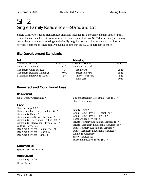## SF-2 Single Family Residence—Standard Lot

Single Family Residence Standard Lot district is intended for a moderate density single-family residential use on a lot that is a minimum of 5,750 square feet. An SF-2 district designation may be applied to a use in an existing single-family neighborhood that has moderate sized lots or to new development of single-family housing on lots that are 5,750 square feet or more.

#### **Site Development Standards**

| Lot                       |             | Massing            |                 |
|---------------------------|-------------|--------------------|-----------------|
| Minimum Lot Size          | 5,750 sq ft | Maximum Height     | 35 ft           |
| Minimum Lot Width         | $50$ ft     | Minimum Setbacks   |                 |
| Maximum Units Per Lot     |             | Front yard         | $25 \text{ ft}$ |
| Maximum Building Coverage | 40%         | Street side yard   | $15 \text{ ft}$ |
| Maximum Impervious Cover  | 45%         | Interior side yard | 5 <sub>ft</sub> |
|                           |             | Rear yard          | $10$ ft         |

#### **Permitted and Conditional Uses:**

#### **Residential**

| Single-Family Residential *                                                                                                                                                                                                                                                                                                              | Bed and Breakfast Residential (Group 1) *<br><b>Short-Term Rental</b>                                                                                                                                                                                                                                                                                                              |
|------------------------------------------------------------------------------------------------------------------------------------------------------------------------------------------------------------------------------------------------------------------------------------------------------------------------------------------|------------------------------------------------------------------------------------------------------------------------------------------------------------------------------------------------------------------------------------------------------------------------------------------------------------------------------------------------------------------------------------|
| Civic                                                                                                                                                                                                                                                                                                                                    |                                                                                                                                                                                                                                                                                                                                                                                    |
| Club or Lodge $(c)$ *<br>College and University Facilities (c) *<br>Community Events *<br>Communication Service Facilities *<br>∗<br>Community Recreation—Public (c)<br>Community Recreation—Private (c)<br>∗<br>Cultural Services (c)<br>Day Care Services—Commercial (c)<br>Day Care Services—General (c)<br>Day Care Services-Limited | Family Home *<br>Group Home Class I—General $(c)$ *<br>Group Home Class I—Limited *<br>Local Utility Services (c)<br>Private Primary Educational Services (c) *<br>Private Secondary Educational Services (c) *<br>Public Primary Educational Services *<br>Public Secondary Educational Services *<br>Religious Assembly<br>Safety Services (c)<br>Telecommunication Tower (PC) * |

#### **Commercial**

Special Use—Historic (c) \*

#### **Agricultural**

Community Garden Urban Farm \*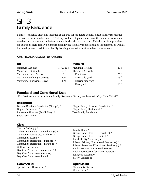### SF-3 Family Residence

Family Residence district is intended as an area for moderate density single-family residential use, with a minimum lot size of 5,750 square feet. Duplex use is permitted under development standards that maintain single-family neighborhood characteristics. This district is appropriate for existing single-family neighborhoods having typically moderate sized lot patterns, as well as for development of additional family housing areas with minimum land requirements.

#### **Site Development Standards**

| Lot                       |               | Massing            |                  |
|---------------------------|---------------|--------------------|------------------|
| Minimum Lot Size          | $5,750$ sq ft | Maximum Height     | $35$ ft          |
| Minimum Lot Width         | 50 ft         | Minimum Setbacks   |                  |
| Maximum Units Per Lot     |               | Front yard         | $25 \text{ ft}$  |
| Maximum Building Coverage | 40%           | Street side yard   | $15 \text{ ft}$  |
| Maximum Impervious Cover  | 45%           | Interior side yard | 5 <sub>ft</sub>  |
|                           |               | Rear yard          | 10 <sub>ft</sub> |

#### **Permitted and Conditional Uses**

† For detail on marked uses in the Family Residence district, see the Austin City Code 25-2-552.

#### **Residential**

| Bed and Breakfast Residential (Group 1) * | Single-Family Attached Residential * |
|-------------------------------------------|--------------------------------------|
| Duplex Residential *                      | Single-Family Residential *          |
| Retirement Housing (Small Site)   *       | Two-Family Residential *             |
| <b>Short-Term Rental</b>                  |                                      |

#### **Civic**

| Club or Lodge $(c)$ *<br>College and University Facilities (c) *<br>Communication Service Facilities *<br>Community Events *<br>Community Recreation—Public (c) *<br>Community Recreation—Private (c) *<br>Cultural Services (c)<br>Day Care Services—Commercial (c)<br>Day Care Services—General (c) | Family Home *<br>Group Home Class I—General $(c)$ *<br>Group Home Class I—Limited *<br>Local Utility Services (c)<br>Private Primary Educational Services (c) *<br>Private Secondary Educational Services (c) *<br>Public Primary Educational Services *<br>Public Secondary Educational Services *<br>Religious Assembly |
|-------------------------------------------------------------------------------------------------------------------------------------------------------------------------------------------------------------------------------------------------------------------------------------------------------|---------------------------------------------------------------------------------------------------------------------------------------------------------------------------------------------------------------------------------------------------------------------------------------------------------------------------|
| Day Care Services-Limited                                                                                                                                                                                                                                                                             | Safety Services (c)                                                                                                                                                                                                                                                                                                       |
| Commercial                                                                                                                                                                                                                                                                                            | Agricultural                                                                                                                                                                                                                                                                                                              |
| Special Use—Historic $(c)$ *                                                                                                                                                                                                                                                                          | <b>Community Garden</b><br>Urban Farm *                                                                                                                                                                                                                                                                                   |
|                                                                                                                                                                                                                                                                                                       |                                                                                                                                                                                                                                                                                                                           |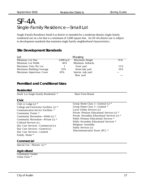## SF-4A Single-Family Residence—Small Lot

Single-Family Residence Small Lot district is intended for a moderate density single-family residential use on a lot that is a minimum of 3,600 square feet. An SF-4A district use is subject to development standards that maintain single family neighborhood characteristics.

#### **Site Development Standards**

| Lot                       |               | Massing            |                 |
|---------------------------|---------------|--------------------|-----------------|
| Minimum Lot Size          | $3,600$ sq ft | Maximum Height     | 35 ft           |
| Minimum Lot Width         | 40 ft         | Minimum Setbacks   |                 |
| Maximum Units Per Lot     |               | Front yard         | $15 \text{ ft}$ |
| Maximum Building Coverage | 55%           | Street side yard   | $10$ ft         |
| Maximum Impervious Cover  | 65%           | Interior side yard |                 |
|                           |               | Rear yard          |                 |

#### **Permitted and Conditional Uses**

#### **Residential**

Small Lot Single-Family Residential \* Short-Term Rental **Civic** Club or Lodge (c) \* College and University Facilities (c) \* Communication Service Facilities \* Community Events \* Community Recreation—Public (c) \* Community Recreation—Private (c) \* Cultural Services (c) Day Care Services—Commercial (c) Day Care Services—General (c) Day Care Services—Limited Family Home \* Group Home Class I—General (c) \* Group Home Class I—Limited \* Local Utility Services (c) Private Primary Educational Services (c) \* Private Secondary Educational Services (c) \* Public Primary Educational Services \* Public Secondary Educational Services \* Religious Assembly Safety Services (c) Telecommunication Tower (PC) \*

#### **Commercial**

Special Use—Historic (c) \*

#### **Agricultural**

Community Garden Urban Farm \*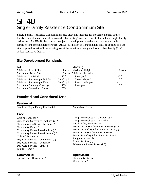### SF-4B Single-Family Residence Condominium Site

Single-Family Residence Condominium Site district is intended for moderate density singlefamily residential use on a site surrounded by existing structures, most of which are single-family residences. An SF-4B district use is subject to development standards that maintain single family neighborhood characteristics. An SF-4B district designation may only be applied to a use at a proposed location if the existing use at the location is designated as an urban family (SF-5) or less restrictive district.

#### **Site Development Standards**

| Lot                            |               | Massing                  |                 |
|--------------------------------|---------------|--------------------------|-----------------|
| Minimum Size of Site           | 1 acre        | Maximum Height           | 2 stories       |
| Maximum Size of Site           |               | 5 acres Minimum Setbacks |                 |
| Minimum Lot Width              | 40 ft         | Front yard               | $25 \text{ ft}$ |
| Minimum Site Area per Building | $2,800$ sq ft | Street side yard         | $15 \text{ ft}$ |
| Minimum Site Area per Unit     | $3,600$ sq ft | Interior side yard       | n/a             |
| Maximum Building Coverage      | 40%           | Rear yard                | $15 \text{ ft}$ |
| Maximum Impervious Cover       | 60%           |                          |                 |

#### **Permitted and Conditional Uses**

| <b>Residential</b> |
|--------------------|
|                    |

| <b>Small Lot Single Family Residential</b>                                                                                                                                                                                                                                                                                                          | <b>Short-Term Rental</b>                                                                                                                                                                                                                                                                                                                                          |
|-----------------------------------------------------------------------------------------------------------------------------------------------------------------------------------------------------------------------------------------------------------------------------------------------------------------------------------------------------|-------------------------------------------------------------------------------------------------------------------------------------------------------------------------------------------------------------------------------------------------------------------------------------------------------------------------------------------------------------------|
| <b>Civic</b>                                                                                                                                                                                                                                                                                                                                        |                                                                                                                                                                                                                                                                                                                                                                   |
| Club or Lodge $(c)$ *<br>College and University Facilities (c) *<br>Communication Service Facilities *<br>Community Events *<br>Community Recreation—Public (c) *<br>Community Recreation—Private (c) *<br>Cultural Services (c)<br>Day Care Services—Commercial (c)<br>Day Care Services—General (c)<br>Day Care Services-Limited<br>Family Home * | Group Home Class I—General $(c)$ *<br>Group Home Class I—Limited *<br>Local Utility Services (c)<br>Private Primary Educational Services (c) *<br>Private Secondary Educational Services (c) *<br>Public Primary Educational Services *<br>Public Secondary Educational Services *<br>Religious Assembly<br>Safety Services (c)<br>Telecommunication Tower (PC) * |
| Commercial<br>Special Use—Historic $(c)$ *                                                                                                                                                                                                                                                                                                          | Agricultural<br><b>Community Garden</b><br>Urban Farm *                                                                                                                                                                                                                                                                                                           |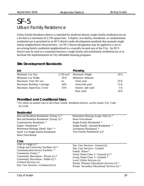## SF-5 Urban Family Residence

Urban Family Residence district is intended for moderate density single-family residential use on a lot that is a minimum of 5,750 square feet. A duplex, two-family, townhouse, or condominium residential use is permitted in an SF-5 district under development standards that maintain single family neighborhood characteristics. An SF-5 district designation may be applied to a use in an existing family residential neighborhood in a centrally located area of the City. An SF-5 district may be used as a transition between a single family and multifamily residential use or to facilitate the implementation of City affordable housing programs.

| Lot                       |               | Massing            |                  |
|---------------------------|---------------|--------------------|------------------|
| Minimum Lot Size          | $5,750$ sq ft | Maximum Height     | $35 \text{ ft}$  |
| Minimum Lot Width         | $50$ ft       | Minimum Setbacks   |                  |
| Maximum Units Per Lot     | n/a           | Front yard         | $25 \text{ ft}$  |
| Maximum Building Coverage | 40%           | Street side yard   | 15 <sub>ft</sub> |
| Maximum Impervious Cover  | 55%           | Interior side yard | $5 \text{ ft}$   |
|                           |               | Rear yard          | $10$ ft          |

#### **Site Development Standards**

#### **Permitted and Conditional Uses**

† For detail on marked uses in the Urban Family Residence district, see the Austin City Code 25-2-559.

#### **Residential**

| Bed and Breakfast Residential (Group 1) *                                                              | Retirement Housing (Large Site) (c) *                                                            |
|--------------------------------------------------------------------------------------------------------|--------------------------------------------------------------------------------------------------|
| Bed and Breakfast Residential (Group 2) *                                                              | <b>Short-Term Rental</b>                                                                         |
| Condominium Residential *                                                                              | Single-Family Residential *                                                                      |
| Duplex Residential *                                                                                   | Single-Family Attached Residential *                                                             |
| Retirement Housing (Small Site) $\dagger$ *                                                            | Townhouse Residential *                                                                          |
| Small Lot Single-Family Residential                                                                    | Two-Family Residential (c)*                                                                      |
| <b>Short-Term Rental</b>                                                                               |                                                                                                  |
| Civic                                                                                                  |                                                                                                  |
| Club or Lodge $(c)$ *<br>College and University Facilities (c) *<br>Communication Service Facilities * | Day Care Services—General (c)<br>Day Care Services—Limited                                       |
| Community Events *                                                                                     | Family Home *                                                                                    |
| Community Recreation—Private (c) *<br>Community Recreation—Public $(c)$ *                              | Group Home Class I—General $(c)$ *<br>Group Home Class I—Limited *<br>Local Utility Services (c) |
| Cultural Services (c)<br>Day Care Services—Commercial (c)                                              | Private Primary Educational Services (c) *<br>Private Secondary Educational Services (c) *       |
|                                                                                                        |                                                                                                  |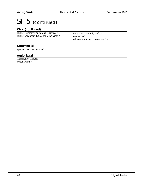## SF-5 (continued)

#### **Civic (continued)**

Public Primary Educational Services \* Public Secondary Educational Services \*

Religious Assembly Safety Services (c) Telecommunication Tower (PC) \*

#### **Commercial**

Special Use—Historic (c) \*

#### **Agricultural**

Community Garden Urban Farm \*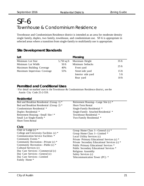## SF-6 Townhouse & Condominium Residence

Townhouse and Condominium Residence district is intended as an area for moderate density single family, duplex, two family, townhouse, and condominium use. SF-6 is appropriate in selected areas where a transition from single-family to multifamily use is appropriate.

#### **Site Development Standards**

| Lot                         |               | Massing            |                  |
|-----------------------------|---------------|--------------------|------------------|
| Minimum Lot Size            | $5,750$ sq ft | Maximum Height     | 35 <sub>ft</sub> |
| Minimum Lot Width           | $50$ ft       | Minimum Setbacks   |                  |
| Maximum Building Coverage   | 40%           | Front yard         | $25 \text{ ft}$  |
| Maximum Impervious Coverage | 55%           | Street side yard   | $15 \text{ ft}$  |
|                             |               | Interior side yard | $5 \text{ ft}$   |
|                             |               | Rear yard          | 10 <sub>ft</sub> |

#### **Permitted and Conditional Uses**

† For detail on marked uses in the Townhouse & Condominium Residence district, see the Austin City Code 25-2-559.

#### **Residential**

| Bed and Breakfast Residential (Group 1) * | Retirement Housing—Large Site (c) *  |
|-------------------------------------------|--------------------------------------|
| Bed and Breakfast Residential (Group 2) * | <b>Short-Term Rental</b>             |
| Condominium Residential *                 | Single-Family Residential *          |
| Duplex Residential *                      | Single-Family Attached Residential * |
| Retirement Housing—Small Site $\dagger$ * | Townhouse Residential *              |
| Small Lot Single-Family *                 | Two-Family Residential *             |
| <b>Short-Term Rental</b>                  |                                      |
|                                           |                                      |

#### **Civic**

| Club or Lodge $(c)$ *                   | Group Home Class I—General (c) *             |
|-----------------------------------------|----------------------------------------------|
| College and University Facilities (c) * | Group Home Class I-Limited *                 |
| Communication Service Facilities *      | Local Utility Services (c)                   |
| Community Events *                      | Private Primary Educational Services (c) *   |
| Community Recreation-Private (c) *      | Private Secondary Educational Services (c) * |
| Community Recreation—Public (c) *       | Public Primary Educational Services *        |
| Cultural Services (c)                   | Public Secondary Educational Services *      |
| Day Care Services—Commercial (c)        | Religious Assembly                           |
| Day Care Services—General (c)           | Safety Services (c)                          |
| Day Care Services-Limited               | Telecommunication Tower (PC) *               |
| Family Home *                           |                                              |
|                                         |                                              |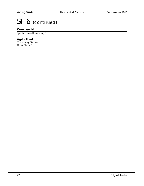## SF-6 (continued)

#### **Commercial**

Special Use—Historic (c) \*

#### **Agricultural**

Community Garden Urban Farm \*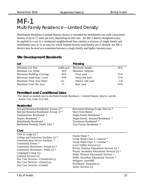## MF-1 Multi-Family Residence—Limited Density

Multifamily Residence Limited Density district is intended for multifamily use with a maximum density of up to 17 units per acre, depending on unit size. An MF-1 district designation may be applied to a use in a residential neighborhood that contains a mixture of single family and multifamily uses or in an area for which limited density multifamily use is desired. An MF-1 district may be used as a transition between a single family and higher intensity uses.

#### **Site Development Standards**

| Lot                       |               | Massing            |                  |
|---------------------------|---------------|--------------------|------------------|
| Minimum Lot Size          | $8,000$ sq ft | Maximum Height     | $40$ ft          |
| Minimum Lot Width         | $50$ ft       | Minimum Setbacks   |                  |
| Maximum Building Coverage | 45%           | Front yard         | $25 \text{ ft}$  |
| Maximum Impervious Cover  | 55%           | Street side yard   | $15 \text{ ft}$  |
| Maximum Floor Area Ratio  | n/a           | Interior side yard | 5 <sub>ft</sub>  |
| Maximum Units Per Acre    | 17            | Rear yard          | 10 <sub>ft</sub> |

#### **Permitted and Conditional Uses**

† For detail on marked uses in the Multi-Family Residence—Limited Density district, see the Austin City Code 25-2-560.

#### **Residential**

| Bed and Breakfast Residential (Group 1) * | Retirement Housing (Large Site) (c) * |
|-------------------------------------------|---------------------------------------|
| Bed and Breakfast Residential (Group 2) * | <b>Short-Term Rental</b>              |
| Condominium Residential *                 | Single-Family Residential *           |
| Duplex Residential *                      | Single-Family Attached Residential *  |
| Multifamily Residential †                 | Townhouse Residential *               |
| Retirement Housing (Small Site) *         | Two-Family Residential *              |
|                                           |                                       |

#### **Civic**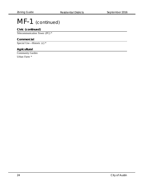## MF-1 (continued)

#### **Civic (continued)**

Telecommunication Tower (PC) \*

#### **Commercial**

Special Use—Historic (c) \*

#### **Agricultural**

Community Garden Urban Farm \*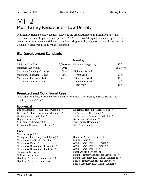## MF-2 Multi-Family Residence—Low Density

Multifamily Residence Low Density district is the designation for a multifamily use with a maximum density of up to 23 units per acre. An MF-2 district designation may be applied to a use in a multifamily residential area located near single-family neighborhoods or in an area for which low-density multifamily use is desirable.

#### **Site Development Standards**

| Lot                       |               | Massing             |                 |
|---------------------------|---------------|---------------------|-----------------|
| Minimum Lot Size          | $8,000$ sq ft | Maximum Height (ft) | 40 ft           |
| Minimum Lot Width         | $50$ ft       |                     | or 3 stories    |
| Maximum Building Coverage | 50%           | Minimum Setbacks    |                 |
| Maximum Impervious Cover  | 60%           | Front yard          | $25 \text{ ft}$ |
| Maximum Floor Area Ratio  | n/a           | Street side yard    | $15 \text{ ft}$ |
| Maximum Units Per Acre    | 23            | Interior side yard  | 5 <sub>ft</sub> |
|                           |               | Rear yard           | $10$ ft         |

#### **Permitted and Conditional Uses**

† For detail on marked uses in the Multi-Family Residence—Low Density district, see the Austin City Code 25-2-561.

#### **Residential**

| Bed and Breakfast Residential (Group 1) * | Retirement Housing—Large Site (c) *          |
|-------------------------------------------|----------------------------------------------|
| Bed and Breakfast Residential (Group 2) * | Single-Family Residential *                  |
| Condominium Residential *                 | Single-Family Attached Residential *         |
| Duplex Residential *                      | Townhouse Residential *                      |
| Multifamily Residential †                 | Two-Family Residential*                      |
| Retirement Housing—Small Site *           | <b>Short-Term Rentals</b>                    |
| Civic                                     |                                              |
| Club or Lodge $(c)$ *                     |                                              |
| College and University Facilities (c) *   | Day Care Services—Limited                    |
| Communication Service Facilities *        | Family Home *                                |
| Community Events *                        | Group Home Class I—General *                 |
| Community Recreation—Private (c) *        | Group Home Class I—Limited *                 |
| Community Recreation—Public (c) *         | Group Home Class II (c) *                    |
| Congregate Living (c)                     | Local Utility Services (c)                   |
| Cultural Services (c)                     | Private Primary Educational Services (c) *   |
| Day Care Services—Commercial (c)          | Private Secondary Educational Services (c) * |
| Day Care Services—General (c)             | Public Primary Educational Services *        |
|                                           | Public Secondary Educational Services *      |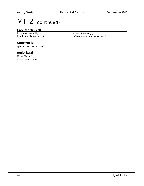## MF-2 (continued)

#### **Civic (continued)**

Religious Assembly Residential Treatment (c)

Safety Services (c) Telecommunication Tower (PC) \*

#### **Commercial**

Special Use—Historic (c) \*

#### **Agricultural**

Urban Farm \* Community Garden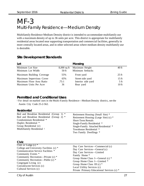## MF-3 Multi-Family Residence—Medium Density

Multifamily Residence Medium Density district is intended to accommodate multifamily use with a maximum density of up to 36 units per acre. This district is appropriate for multifamily residential areas located near supporting transportation and commercial facilities, generally in more centrally located areas, and in other selected areas where medium density multifamily use is desirable.

| Lot                       |               | Massing            |                 |
|---------------------------|---------------|--------------------|-----------------|
| Minimum Lot Size          | $8,000$ sq ft | Maximum Height     | $40$ ft         |
| Minimum Lot Width         | $50$ ft       | Minimum Setbacks   |                 |
| Maximum Building Coverage | 55%           | Front yard         | $25 \text{ ft}$ |
| Maximum Impervious Cover  | 65%           | Street side yard   | $15 \text{ ft}$ |
| Maximum Floor Area Ratio  | .75:1         | Interior side yard | 5 <sub>ft</sub> |
| Maximum Units Per Acre    | 36            | Rear yard          | $10$ ft         |

#### **Site Development Standards**

#### **Permitted and Conditional Uses**

† For detail on marked uses in the Multi-Family Residence—Medium Density district, see the Austin City Code 25-2-562.

#### **Residential**

| Bed and Breakfast Residential (Group 1) *<br>Bed and Breakfast Residential (Group 2) *<br>Condominium Residential *<br>Duplex Residential *<br>Group Residential (c)<br>Multifamily Residential † | Retirement Housing (Small Site) *<br>Retirement Housing (Large Site) (c) *<br><b>Short-Term Rentals</b><br>Single-Family Residential *<br>Single-Family Attached Residential *<br>Townhouse Residential *<br>Two Family Dwellings * |
|---------------------------------------------------------------------------------------------------------------------------------------------------------------------------------------------------|-------------------------------------------------------------------------------------------------------------------------------------------------------------------------------------------------------------------------------------|
| $\bigcap_{i=1}^n$                                                                                                                                                                                 |                                                                                                                                                                                                                                     |

| <b>VIVIG</b>                                                                                                                                                                                                                                                                           |                                                                                                                                                                                                                                                                                                  |
|----------------------------------------------------------------------------------------------------------------------------------------------------------------------------------------------------------------------------------------------------------------------------------------|--------------------------------------------------------------------------------------------------------------------------------------------------------------------------------------------------------------------------------------------------------------------------------------------------|
| Club or Lodge $(c)$ *<br>College and University Facilities (c) *<br>Communication Service Facilities *<br>Community Events *<br>Community Recreation—Private (c) *<br>Community Recreation-Public (c) *<br>Congregate Living (c)<br>Convalescent Services (c)<br>Cultural Services (c) | Day Care Services—Commercial (c)<br>Day Care Services—General (c)<br>Day Care Services-Limited<br>Family Home *<br>Group Home Class I—General $(c)$ *<br>Group Home Class I-Limited *<br>Group Home Class II (c) $*$<br>Local Utility Services (c)<br>Private Primary Educational Services (c) * |
|                                                                                                                                                                                                                                                                                        |                                                                                                                                                                                                                                                                                                  |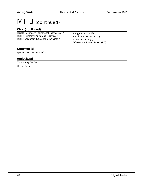## MF-3 (continued)

#### **Civic (continued)**

Private Secondary Educational Services (c) \* Public Primary Educational Services \* Public Secondary Educational Services \*

Religious Assembly Residential Treatment (c) Safety Services (c) Telecommunication Tower (PC) \*

#### **Commercial**

Special Use—Historic (c) \*

#### **Agricultural**

Community Garden Urban Farm \*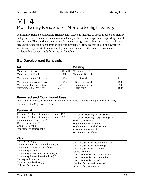## MF-4 Multi-Family Residence—Moderate-High Density

Multifamily Residence Moderate-High Density district is intended to accommodate multifamily and group residential use with a maximum density of 36 to 54 units per acre, depending on unit size and mix. This district is appropriate for moderate-high density housing in centrally located areas near supporting transportation and commercial facilities, in areas adjoining downtown Austin and major institutional or employment centers, and in other selected areas where moderate-high density multifamily use is desirable.

| Lot                       |               | Massing            |                 |
|---------------------------|---------------|--------------------|-----------------|
| Minimum Lot Size          | $8,000$ sq ft | Maximum Height     | $60$ ft         |
| Minimum Lot Width         | 50 ft         | Minimum Setbacks   |                 |
| Maximum Building Coverage | 60%           | Front yard         | $15 \text{ ft}$ |
| Maximum Impervious Cover  | 70%           | Street side yard   | $15 \text{ ft}$ |
| Maximum Floor Area Ratio  | .75:1         | Interior side yard | $5 \text{ ft}$  |
| Maximum Units Per Acre    | $36 - 54$     | Rear yard          | $10$ ft         |

#### **Site Development Standards**

#### **Permitted and Conditional Uses**

† For detail on marked uses in the Multi-Family Residence—Moderate-High Density district, see the Austin City Code 25-2-563.

#### **Residential**

| Bed and Breakfast Residential (Group 1) *<br>Bed and Breakfast Residential (Group 2) *<br>Condominium Residential *<br>Duplex Residential *<br>Group Residential<br>Multifamily Residential †                                                                                          | Retirement Housing (Small Site) *<br>Retirement Housing (Large Site) (c) *<br><b>Short-Term Rentals</b><br>Single-Family Residential *<br>Single-Family Attached Residential *<br>Townhouse Residential *<br>Two Family Dwellings *                                                 |
|----------------------------------------------------------------------------------------------------------------------------------------------------------------------------------------------------------------------------------------------------------------------------------------|-------------------------------------------------------------------------------------------------------------------------------------------------------------------------------------------------------------------------------------------------------------------------------------|
| <b>Civic</b>                                                                                                                                                                                                                                                                           |                                                                                                                                                                                                                                                                                     |
| Club or Lodge $(c)$ *<br>College and University Facilities (c) *<br>Communication Service Facilities *<br>Community Events *<br>Community Recreation—Private (c) *<br>Community Recreation—Public (c) *<br>Congregate Living (c)<br>Convalescent Services (c)<br>Cultural Services (c) | Day Care Services—Commercial (c)<br>Day Care Services—General (c)<br>Day Care Services-Limited<br>Family Home *<br>Group Home Class I—General $(c)$ *<br>Group Home Class I—Limited *<br>Group Home Class II (c) $*$<br>Hospital Services—Limited (c)<br>Local Utility Services (c) |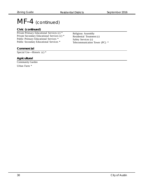## MF-4 (continued)

#### **Civic (continued)**

Private Primary Educational Services (c) \* Private Secondary Educational Services (c) \* Public Primary Educational Services \* Public Secondary Educational Services \*

**Commercial**

Special Use—Historic (c) \*

#### **Agricultural**

Community Garden Urban Farm \*

Religious Assembly Residential Treatment (c) Safety Services (c) Telecommunication Tower (PC) \*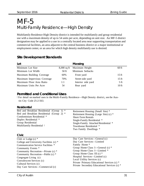## MF-5 Multi-Family Residence—High Density

Multifamily Residence High Density district is intended for multifamily and group residential use with a maximum density of up to 54 units per acre, depending on unit size. An MF-5 district designation may be applied to a use in a centrally located area near supporting transportation and commercial facilities, an area adjacent to the central business district or a major institutional or employment center, or an area for which high density multifamily use is desired.

| Lot                         |               | Massing            |                 |
|-----------------------------|---------------|--------------------|-----------------|
| Minimum Lot Size            | $8,000$ sq ft | Maximum Height     | $60$ ft         |
| Minimum Lot Width           | 50 ft         | Minimum Setbacks   |                 |
| Maximum Building Coverage   | 60%           | Front yard         | $15 \text{ ft}$ |
| Maximum Impervious Coverage | 70%           | Street side yard   | $15 \text{ ft}$ |
| Maximum Floor Area Ratio    | 1:1           | Interior side yard | $5 \text{ ft}$  |
| Maximum Units Per Acre      | 54            | Rear yard          | $10$ ft         |

#### **Site Development Standards**

#### **Permitted and Conditional Uses**

† For detail on marked uses in the Multi-Family Residence—High Density district, see the Austin City Code 25-2-563.

#### **Residential**

| Bed and Breakfast Residential (Group 1) *<br>Bed and Breakfast Residential (Group 2) *<br>Condominium Residential *<br>Duplex Residential *<br>Group Residential<br>Multifamily Residential † | Retirement Housing (Small Site) *<br>Retirement Housing (Large Site) (c) *<br><b>Short-Term Rentals</b><br>Single-Family Residential *<br>Single-Family Attached Residential *<br>Townhouse Residential *<br>Two Family Dwellings * |  |
|-----------------------------------------------------------------------------------------------------------------------------------------------------------------------------------------------|-------------------------------------------------------------------------------------------------------------------------------------------------------------------------------------------------------------------------------------|--|
| Civic                                                                                                                                                                                         |                                                                                                                                                                                                                                     |  |
| Club or Lodge $(c)$ *                                                                                                                                                                         | Day Care Services—General (c)                                                                                                                                                                                                       |  |
| College and University Facilities (c) *                                                                                                                                                       | Day Care Services-Limited<br>Family Home *<br>Group Home Class I—General $(c)$ *<br>Group Home Class I—Limited *<br>Group Home Class II (c) $*$<br>Hospital Services—Limited (c)                                                    |  |
| Communication Service Facilities *                                                                                                                                                            |                                                                                                                                                                                                                                     |  |
| Community Events *                                                                                                                                                                            |                                                                                                                                                                                                                                     |  |
| Community Recreation—Private (c) *                                                                                                                                                            |                                                                                                                                                                                                                                     |  |
| Community Recreation—Public (c) *                                                                                                                                                             |                                                                                                                                                                                                                                     |  |
| Congregate Living (c)                                                                                                                                                                         |                                                                                                                                                                                                                                     |  |
| Convalescent Services (c)                                                                                                                                                                     | Local Utility Services (c)                                                                                                                                                                                                          |  |
| Cultural Services (c)                                                                                                                                                                         | Private Primary Educational Services (c) *                                                                                                                                                                                          |  |
| Day Care Services—Commercial (c)                                                                                                                                                              | Private Secondary Educational Services (c) *                                                                                                                                                                                        |  |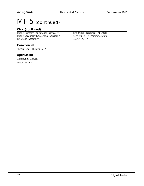## MF-5 (continued)

#### **Civic (continued)**

Public Primary Educational Services \* Public Secondary Educational Services \* Religious Assembly

**Commercial**

Special Use—Historic (c) \*

#### **Agricultural**

Community Garden Urban Farm \*

Residential Treatment (c) Safety Services (c) Telecommunication Tower (PC) \*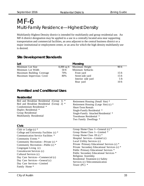## MF-6 Multi-Family Residence—Highest Density

Multifamily Highest Density district is intended for multifamily and group residential use. An MF-6 district designation may be applied to a use in a centrally located area near supporting transportation and commercial facilities, an area adjacent to the central business district or a major institutional or employment center, or an area for which the high density multifamily use is desired.

#### **Site Development Standards**

| Lot                       |         | Massing                    |                  |
|---------------------------|---------|----------------------------|------------------|
| Minimum Lot Size          |         | 8,000 sq ft Maximum Height | $90$ ft          |
| Minimum Lot Width         | $50$ ft | Minimum Setbacks           |                  |
| Maximum Building Coverage | 70%     | Front yard                 | $15 \text{ ft}$  |
| Maximum Impervious Cover  | 80%     | Street side yard           | $15 \text{ ft}$  |
|                           |         | Interior side yard         | $5 \text{ ft}$   |
|                           |         | Rear yard                  | 10 <sub>ft</sub> |

#### **Permitted and Conditional Uses**

| Bed and Breakfast Residential (Group<br>$1) *$<br>Retirement Housing (Small Site) *<br>Bed and Breakfast Residential (Group 2) *<br>Retirement Housing (Large Site) (c) *<br>Condominium Residential *<br><b>Short-Term Rentals</b><br>Duplex Residential *<br>Single-Family Residential *<br>Group Residential<br>Single-Family Attached Residential *<br>Multifamily Residential<br>Townhouse Residential *<br>Two Family Dwellings *<br>Civic<br>Group Home Class I—General $(c)$ *<br>Club or Lodge $(c)$ *<br>Group Home Class I—Limited *<br>College and University Facilities (c) *<br>Group Home Class II (c) $*$<br>Communication Service Facilities * |  |  |
|-----------------------------------------------------------------------------------------------------------------------------------------------------------------------------------------------------------------------------------------------------------------------------------------------------------------------------------------------------------------------------------------------------------------------------------------------------------------------------------------------------------------------------------------------------------------------------------------------------------------------------------------------------------------|--|--|
|                                                                                                                                                                                                                                                                                                                                                                                                                                                                                                                                                                                                                                                                 |  |  |
|                                                                                                                                                                                                                                                                                                                                                                                                                                                                                                                                                                                                                                                                 |  |  |
|                                                                                                                                                                                                                                                                                                                                                                                                                                                                                                                                                                                                                                                                 |  |  |
| Hospital Services—Limited (c)<br>Community Events *<br>Local Utility Services (c)<br>Community Recreation—Private (c) *<br>Private Primary Educational Services (c) *<br>Community Recreation—Public (c) *<br>Private Secondary Educational Services (c) *<br>Congregate Living (c)<br>Public Primary Educational Services *<br>Convalescent Services (c)<br>Public Secondary Educational Services *<br>Cultural Services (c)<br>Religious Assembly<br>Day Care Services—Commercial (c)<br>Residential Treatment (c) Safety<br>Day Care Services—General (c)<br>Services (c) Telecommunication<br>Day Care Services—Limited<br>Tower (PC) $*$<br>Family Home *  |  |  |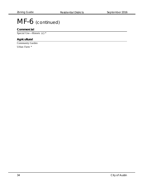## MF-6 (continued)

#### **Commercial**

Special Use—Historic (c) \*

#### **Agricultural**

Community Garden Urban Farm \*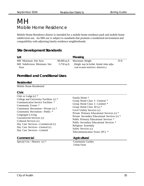# MH Mobile Home Residence

Mobile Home Residence district is intended for a mobile home residence park and mobile home subdivision use. An MH use is subject to standards that promote a residential environment and compatibility with adjoining family residence neighborhoods.

## **Site Development Standards**

| Lot                                 |             | Massing                                                                           |       |
|-------------------------------------|-------------|-----------------------------------------------------------------------------------|-------|
| MH Minimum Site Area                |             | 90,000 sq ft Maximum Height                                                       | 35 ft |
| MH Subdivision Minimum Site<br>Area | 5,750 sq ft | (Height may be further limited when adja-<br>cent to more restrictive districts.) |       |

## **Permitted and Conditional Uses**

#### **Residential**

Mobile Home Residential

| . .<br>۰.<br>v |  |
|----------------|--|
|                |  |

| <b>UIVIL</b>                                                                                                                                                                                                                                                                                                                                                                     |                                                                                                                                                                                                                                                                                                                                                                                                             |
|----------------------------------------------------------------------------------------------------------------------------------------------------------------------------------------------------------------------------------------------------------------------------------------------------------------------------------------------------------------------------------|-------------------------------------------------------------------------------------------------------------------------------------------------------------------------------------------------------------------------------------------------------------------------------------------------------------------------------------------------------------------------------------------------------------|
| Club or Lodge $(c)$ *<br>College and University Facilities (c) *<br>Communication Service Facilities *<br>Community Events *<br>Community Recreation—Private (c) *<br>Community Recreation-Public *<br>Congregate Living<br>Convalescent Services (c)<br>Cultural Services (c)<br>Day Care Services—Commercial (c)<br>Day Care Services—General (c)<br>Day Care Services-Limited | Family Home *<br>Group Home Class I—General *<br>Group Home Class I—Limited *<br>Group Home Class II (c) $*$<br>Local Utility Services (c)<br>Private Primary Educational Services (c) *<br>Private Secondary Educational Services (c) *<br>Public Primary Educational Services *<br>Public Secondary Educational Services *<br>Religious Assembly<br>Safety Services (c)<br>Telecommunication Tower (PC) * |
| Commercial                                                                                                                                                                                                                                                                                                                                                                       | Agricultural                                                                                                                                                                                                                                                                                                                                                                                                |

Special Use—Historic (c) \* Community Garden

Urban Farm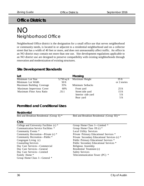## **Office Districts**

# NO Neighborhood Office

Neighborhood Office district is the designation for a small office use that serves neighborhood or community needs, is located in or adjacent to a residential neighborhood and on a collector street that has a width of 40 feet or more, and does not unreasonably affect traffic. An office in an NO district may contain not more than one use. Site development regulations applicable to an NO district use are designed to preserve compatibility with existing neighborhoods through renovation and modernization of existing structures.

## **Site Development Standards**

| Lot                                       |               | Massing                                      |                 |
|-------------------------------------------|---------------|----------------------------------------------|-----------------|
| Minimum Lot Size                          | $5,750$ sq ft | Maximum Height                               | 35 ft           |
| Minimum Lot Width                         | $50$ ft       |                                              | or 2 stories    |
| Maximum Building Coverage                 | 35%           | Minimum Setbacks                             |                 |
| Maximum Impervious Cover                  | 60%           | Front yard                                   | $25 \text{ ft}$ |
| Maximum Floor Area Ratio                  | .35:1         | Street side yard                             | $15 \text{ ft}$ |
|                                           |               | Interior side yard                           | 5 <sub>ft</sub> |
|                                           |               | Rear yard                                    | 5 <sub>ft</sub> |
| <b>Permitted and Conditional Uses</b>     |               |                                              |                 |
| <b>Residential</b>                        |               |                                              |                 |
| Bed and Breakfast Residential (Group I) * |               | Bed and Breakfast Residential (Group II) *   |                 |
| Civic                                     |               |                                              |                 |
| College and University Facilities (c) *   |               | Group Home Class I-Limited *                 |                 |
| Communication Service Facilities *        |               | Group Home Class II (c) $*$                  |                 |
| Community Events *                        |               | <b>Local Utility Services</b>                |                 |
| Community Recreation—Private (c) *        |               | Private Primary Educational Services *       |                 |
| Community Recreation-Public *             |               | Private Secondary Educational Services (c) * |                 |
| Congregate Living (c)                     |               | Public Primary Educational Services *        |                 |
| <b>Counseling Services</b>                |               | Public Secondary Educational Services *      |                 |
| Day Care Services-Commercial              |               | Religious Assembly                           |                 |
| Day Care Services-General                 |               | Residential Treatment (c)                    |                 |
| Day Care Services-Limited                 |               | <b>Safety Services</b>                       |                 |
| Family Home *                             |               | Telecommunication Tower (PC) *               |                 |
| Group Home Class I—General *              |               |                                              |                 |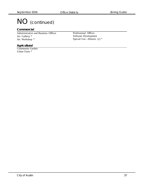# NO (continued)

#### **Commercial**

Administrative and Business Offices Art Gallery \* Art Workshop \*

Professional Offices Software Development Special Use—Historic (c) \*

#### **Agricultural**

Community Garden Urban Farm \*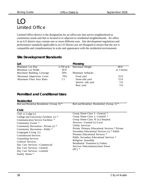# $\overline{\bigcap}$ Limited Office

Limited Office district is the designation for an office use that serves neighborhood or community needs and that is located in or adjacent to residential neighborhoods. An office in an LO district may contain one or more different uses. Site development regulations and performance standards applicable to an LO district use are designed to ensure that the use is compatible and complementary in scale and appearance with the residential environment.

## **Site Development Standards**

| Lot                       |         | Massing                    |                 |
|---------------------------|---------|----------------------------|-----------------|
| Minimum Lot Size          |         | 5,750 sq ft Maximum Height | 40 ft           |
| Minimum Lot Width         | $50$ ft |                            | or 3 stories    |
| Maximum Building Coverage | 50%     | Minimum Setbacks           |                 |
| Maximum Impervious Cover  | 70%     | Front yard                 | $25 \text{ ft}$ |
| Maximum Floor Area Ratio  | .7:1    | Street side yard           | $15 \text{ ft}$ |
|                           |         | Interior side yard         | $5 \text{ ft}$  |
|                           |         | Rear yard                  | 5 <sub>ft</sub> |

## **Permitted and Conditional Uses**

#### **Residential**

| Bed and Breakfast Residential (Group I) *                                                                                                                                                                                                                                                                                                                                        | Bed and Breakfast Residential (Group 2) *                                                                                                                                                                                                                                                                                                                                                                                                         |
|----------------------------------------------------------------------------------------------------------------------------------------------------------------------------------------------------------------------------------------------------------------------------------------------------------------------------------------------------------------------------------|---------------------------------------------------------------------------------------------------------------------------------------------------------------------------------------------------------------------------------------------------------------------------------------------------------------------------------------------------------------------------------------------------------------------------------------------------|
| <b>Civic</b>                                                                                                                                                                                                                                                                                                                                                                     |                                                                                                                                                                                                                                                                                                                                                                                                                                                   |
| Club or $Lodge(c)$<br>College and University Facilities (c) *<br>Communication Service Facilities *<br>Community Events *<br>Community Recreation—Private (c) *<br>Community Recreation-Public *<br>Congregate Living (c)<br><b>Convalescent Services</b><br><b>Counseling Services</b><br><b>Cultural Services</b><br>Day Care Services—Commercial<br>Day Care Services-General | Group Home Class I—General *<br>Group Home Class I—Limited *<br>Group Home Class II (c) Hospital<br>Services—Limited (c) Local<br><b>Utility Services</b><br>Private Primary Educational Services * Private<br>Secondary Educational Services (c) * Public<br>Primary Educational Services *<br>Public Secondary Educational Services *<br>Religious Assembly<br>Residential Treatment (c) Safety<br>Services Telecommunication Tower<br>$(PC)$ * |
| Day Care Services—Limited<br>Family Home *                                                                                                                                                                                                                                                                                                                                       |                                                                                                                                                                                                                                                                                                                                                                                                                                                   |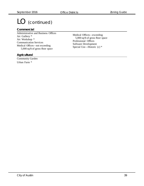# LO (continued)

#### **Commercial**

Administrative and Business Offices Art Gallery \* Art Workshop \* Communication Services Medical Offices—not exceeding 5,000 sq/ft of gross floor space

Medical Offices—exceeding 5,000 sq/ft of gross floor space Professional Offices Software Development Special Use—Historic (c) \*

#### **Agricultural**

Community Garden Urban Farm \*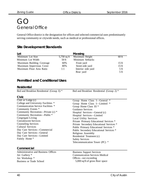# GO General Office

General Office district is the designation for offices and selected commercial uses predominantly serving community or citywide needs, such as medical or professional offices.

## **Site Development Standards**

| Lot                       |             | Massing            |                 |
|---------------------------|-------------|--------------------|-----------------|
| Minimum Lot Size          | 5,750 sq ft | Maximum Height     | $60$ ft         |
| Minimum Lot Width         | $50$ ft     | Minimum Setbacks   |                 |
| Maximum Building Coverage | 60%         | Front yard         | $15 \text{ ft}$ |
| Maximum Impervious Cover  | 80%         | Street side yard   | $15 \text{ ft}$ |
| Maximum Floor Area Ratio  | 1:1         | Interior side yard | $5$ ft          |
|                           |             | Rear yard          | 5 <sub>ft</sub> |

## **Permitted and Conditional Uses**

#### **Residential**

| Bed and Breakfast Residential (Group I) * | Bed and Breakfast Residential (Group 2) * |  |
|-------------------------------------------|-------------------------------------------|--|
| <b>Civic</b>                              |                                           |  |
| Club or Lodge $(c)$                       | Group Home Class I—General                |  |
| College and University Facilities *       | Group Home Class I—Limited *              |  |
| Communication Service Facilities *        | Group Home Class $II^*$                   |  |
| Community Events *                        | <b>Guidance Services</b>                  |  |
| Community Recreation—Private (c) *        | Hospital Services—General (c)             |  |
| Community Recreation-Public *             | Hospital Services-Limited                 |  |
| Congregate Living                         | <b>Local Utility Services</b>             |  |
| <b>Convalescent Services</b>              | Private Primary Educational Services *    |  |
| <b>Counseling Services</b>                | Private Secondary Educational Services *  |  |
| <b>Cultural Services</b>                  | Public Primary Educational Services *     |  |
| Day Care Services—Commercial              | Public Secondary Educational Services *   |  |
| Day Care Services—General                 | Religious Assembly                        |  |
| Day Care Services-Limited                 | Residential Treatment (c)                 |  |
| Family Home *                             | <b>Safety Services</b>                    |  |
|                                           | Telecommunication Tower (PC) *            |  |
| Commercial                                |                                           |  |
| Administrative and Business Offices       | <b>Business Support Services</b>          |  |
| Art Gallery *                             | <b>Communication Services Medical</b>     |  |
|                                           |                                           |  |

Art Workshop \* Business or Trade School Offices—not exceeding 5,000 sq/ft of gross floor space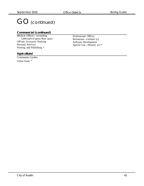# GO (continued)

#### **Commercial (continued)**

Medical Offices—exceeding 5,000 sq/ft of gross floor space Off-site Accessory Parking Personal Services Printing and Publishing \*

Professional Offices Restaurant—Limited (c) Software Development Special Use—Historic (c) \*

#### **Agricultural**

Community Garden

Urban Farm \*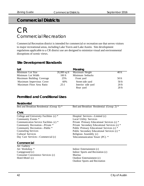# **Commercial Districts**

# CR Commercial Recreation

Commercial Recreation district is intended for commercial or recreation use that serves visitors to major recreational areas, including Lake Travis and Lake Austin. Site development regulations applicable to a CR district use are designed to minimize visual and environmental disruptions of scenic views.

### **Site Development Standards**

| Lot                       |                | Massing            |         |
|---------------------------|----------------|--------------------|---------|
| Minimum Lot Size          | $20,000$ sq ft | Maximum Height     | 40 ft   |
| Minimum Lot Width         | $100$ ft       | Minimum Setbacks   |         |
| Maximum Building Coverage | 25%            | Front yard         | $50$ ft |
| Maximum Impervious Cover  | 60%            | Street side yard   | $50$ ft |
| Maximum Floor Area Ratio  | .25:1          | Interior side yard | $20$ ft |
|                           |                | Rear yard          | $20$ ft |

## **Permitted and Conditional Uses**

| <b>Residential</b>                        |                                              |
|-------------------------------------------|----------------------------------------------|
| Bed and Breakfast Residential (Group I) * | Bed and Breakfast Residential (Group 2) *    |
|                                           |                                              |
| <b>Civic</b>                              |                                              |
| College and University Facilities (c) *   | Hospital Services—Limited (c)                |
| Community Events *                        | <b>Local Utility Services</b>                |
| Communication Service Facilities (c) *    | Private Primary Educational Services (c) *   |
| Community Recreation-Private *            | Private Secondary Educational Services (c) * |
| Community Recreation-Public <sup>*</sup>  | Public Primary Educational Services (c) *    |
| <b>Counseling Services</b>                | Public Secondary Educational Services (c) *  |
| <b>Cultural Services</b>                  | Religious Assembly (c)                       |
| Day Care Services—Commercial (c)          | Telecommunication Tower (PC) *               |
| Commercial                                |                                              |
| <b>Art Gallery</b>                        |                                              |
| Art Workshop *                            | Indoor Entertainment (c)                     |
| Campground (c)                            | Indoor Sports and Recreation (c)             |
| Consumer Convenience Services (c)         | Marina                                       |
| Hotel-Motel (c)                           | Outdoor Entertainment (c)                    |
|                                           | <b>Outdoor Sports and Recreation</b>         |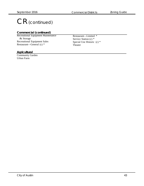# CR (continued)

#### **Commercial (continued)**

Recreational Equipment Maintenance & Storage Recreational Equipment Sales Restaurant—General  $(c)$  \*

Restaurant—Limited \* Service Station (c) \* Special Use Historic (c) \* Theater

#### **Agricultural**

Community Garden Urban Farm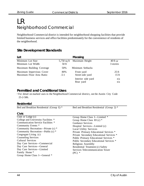# LR Neighborhood Commercial

Neighborhood Commercial district is intended for neighborhood shopping facilities that provide limited business services and office facilities predominately for the convenience of residents of the neighborhood.

### **Site Development Standards**

| Lot                                                  |             | Massing                         |                                    |
|------------------------------------------------------|-------------|---------------------------------|------------------------------------|
| Minimum Lot Size<br>Minimum Lot Width                | $50$ ft     | 5,750 sq ft Maximum Height      | 40 ft or<br>3 stories              |
| Maximum Building Coverage                            | 50%         | Minimum Setbacks                |                                    |
| Maximum Impervious Cover<br>Maximum Floor Area Ratio | 80%<br>.5:1 | Front yard<br>Street side yard  | $25 \text{ ft}$<br>$15 \text{ ft}$ |
|                                                      |             | Interior side yard<br>Rear yard | n/a<br>n/a                         |

### **Permitted and Conditional Uses**

† For detail on marked uses in the Neighborhood Commercial district, see the Austin City Code 25-2-586.

#### **Residential**

| Bed and Breakfast Residential (Group I) * | Bed and Breakfast Residential (Group 2) * |
|-------------------------------------------|-------------------------------------------|
| Civic                                     |                                           |
| Club or Lodge $(c)$                       | Group Home Class I-Limited *              |
| College and University Facilities *       | Group Home Class II (c) $*$               |
| Communication Service Facilities *        | Guidance Services                         |
| Community Events *                        | Hospital Services—Limited (c)             |
| Community Recreation—Private (c) *        | <b>Local Utility Services</b>             |
| Community Recreation—Public (c) *         | Private Primary Educational Services *    |
| Congregate Living (c)                     | Private Secondary Educational Services *  |
| <b>Counseling Services</b>                | Public Primary Educational Services *     |
| <b>Cultural Services</b>                  | Public Secondary Educational Services *   |
| Day Care Services—Commercial              | Religious Assembly                        |
| Day Care Services-General                 | Residential Treatment (c) Safety          |
| Day Care Services-Limited                 | Services Telecommunication Tower          |
| Family Home *                             | $(PC)$ *                                  |
| Group Home Class I—General *              |                                           |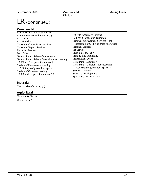**Districts** 

# LR (continued)

#### **Commercial**

Administrative Business Office Alternative Financial Services (c) Art Gallery Art Workshop \* Consumer Convenience Services Consumer Repair Services Financial Services Food Sales General Retail Sales—Convenience General Retail Sales – General – not exceeding 5,000 sq. ft of gross floor space † Medical Offices—not exceeding 5,000 sq/ft of gross floor space Medical Offices—exceeding 5,000 sq/ft of gross floor space (c)

#### **Industrial**

Custom Manufacturing (c)

#### **Agricultural**

Community Garden Urban Farm \*

Off-Site Accessory Parking Pedicab Storage and Dispatch Personal Improvement Services – not exceeding 5,000 sq/ft of gross floor space Personal Services Pet Services Plant Nursery (c) \* Printing and Publishing Professional Office Restaurant—Limited \* Restaurant – General – not exceeding 4,000 sq/ft of gross floor space † \* Service Station \* Software Development Special Use Historic (c) \*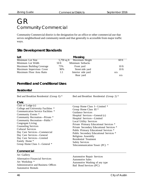# GR Community Commercial

Community Commercial district is the designation for an office or other commercial use that serves neighborhood and community needs and that generally is accessible from major traffic ways.

## **Site Development Standards**

| Lot                       |       | Massing                    |                  |
|---------------------------|-------|----------------------------|------------------|
| Minimum Lot Size          |       | 5,750 sq ft Maximum Height | $60$ ft          |
| Minimum Lot Width         | 50 ft | Minimum Setbacks           |                  |
| Maximum Building Coverage | 75%   | Front yard                 | $10$ ft          |
| Maximum Impervious Cover  | 90%   | Street side yard           | 10 <sub>ft</sub> |
| Maximum Floor Area Ratio  | 1:1   | Interior side yard         | n/a              |
|                           |       | Rear yard                  | n/a              |

### **Permitted and Conditional Uses**

#### **Residential**

Bed and Breakfast Residential (Group I) \* Bed and Breakfast Residential (Group 2) \*

#### **Civic**

#### **Commercial**

Art Gallery Alternative Financial Services Art Workshop \* Administrative and Business Offices Automotive Rentals

Automotive Repair Services Automotive Sales Automotive Washing of any type Bail Bond Services (PC)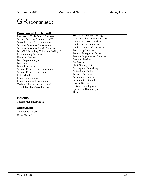# GR (continued)

#### **Commercial (continued)**

Business or Trade School Business Support Services Commercial Off-Street Parking Communications Services Consumer Convenience Services Consumer Repair Services Drop-Off Recycling Collection Facility \* Exterminating Services Financial Services Food Preparation (c) Food Sales Funeral Services General Retail Sales—Convenience General Retail Sales—General Hotel-Motel Indoor Entertainment Indoor Sports and Recreation Medical Offices—not exceeding 5,000 sq/ft of gross floor space

Medical Offices—exceeding 5,000 sq/ft of gross floor space Off-Site Accessory Parking Outdoor Entertainment (c) Outdoor Sports and Recreation Pawn Shop Services Pedicab Storage and Dispatch Personal Improvement Services Personal Services Pet Services Plant Nursery (c) Printing and Publishing Professional Office Research Services Restaurant—General Restaurant—Limited Service Station Software Development Special use Historic (c) Theater

#### **Industrial**

Custom Manufacturing (c)

#### **Agricultural**

Community Garden Urban Farm \*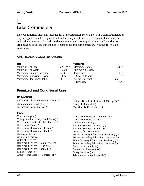# L Lake Commercial

Lake Commercial district is intended for use located near Town Lake. An L district designation may be applied to a development that includes any combination of office retail, commercial, and residential uses. Use and site development regulations applicable to an L district use are designed to ensure that the use is compatible and complementary with the Town Lake environment.

## **Site Development Standards**

| Lot                       |         | Massing                    |         |
|---------------------------|---------|----------------------------|---------|
| Minimum Lot Size          |         | 5,750 sq ft Maximum Height | 200 ft  |
| Minimum Lot Width         | $50$ ft | Minimum Setbacks           |         |
| Maximum Building Coverage | 50%     | Front yard                 | $10$ ft |
| Maximum Impervious Cover  | 50%     | Street side yard           | $10$ ft |
| Maximum Floor Area Ratio  | 8:1     | Interior side yard         | n/a     |
|                           |         | Rear yard                  | n/a     |

## **Permitted and Conditional Uses**

#### **Residential**

| Bed and Breakfast Residential (Group I) *<br>Condominium Residential (c)<br>Townhouse Residential (c) * | Bed and Breakfast Residential (Group 2) *<br>Group Residential (c)<br>Multifamily Residential (c) |
|---------------------------------------------------------------------------------------------------------|---------------------------------------------------------------------------------------------------|
| Civic                                                                                                   |                                                                                                   |
| Club or Lodge $(c)$                                                                                     | Group Home Class I—Limited $(c)$ *                                                                |
| College and University Facilities (c) *                                                                 | Group Home Class II (c) $*$                                                                       |
| Communication Service Facilities (c) *                                                                  | Guidance Services (c)                                                                             |
| Community Events *                                                                                      | Hospital Services—General (c)                                                                     |
| Community Recreation-Private *                                                                          | Hospital Services—Limited (c)                                                                     |
| Community Recreation-Public <sup>*</sup>                                                                | Local Utility Services (c)                                                                        |
| Congregate Living (c)                                                                                   | Private Primary Educational Services (c) *                                                        |
| <b>Counseling Services</b>                                                                              | Private Secondary Educational Services (c) *                                                      |
| <b>Cultural Services</b>                                                                                | Public Primary Educational Services (c) *                                                         |
| Day Care Services—Commercial (c)                                                                        | Public Secondary Educational Services (c) *                                                       |
| Day Care Services—General (c)                                                                           | Religious Assembly (c)                                                                            |
| Day Care Services—Limited (c)                                                                           | Residential Treatment (c)                                                                         |
| Family Home (c) *                                                                                       | Safety Services (c)                                                                               |
| Group Home Class I—General $(c)$ *                                                                      | Telecommunication Tower (PC) *                                                                    |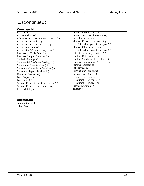# L (continued)

**Commercial**

Art Gallery Art Workshop (c) Administrative and Business Offices (c) Automotive Rentals (c) Automotive Repair Services (c) Automotive Sales (c) Automotive Washing of any type (c) Business or Trade School (c) Business Support Services (c) Cocktail Lounge (c) \* Commercial Off-Street Parking (c) Communications Services (c) Consumer Convenience Services (c) Consumer Repair Services (c) Financial Services (c) Food Preparation Food Sales (c) General Retail Sales—Convenience (c) General Retail Sales—General (c) Hotel-Motel (c)

Indoor Entertainment (c) Indoor Sports and Recreation (c) Laundry Services (c) Medical Offices—not exceeding 5,000 sq/ft of gross floor space (c) Medical Offices—exceeding 5,000 sq/ft of gross floor space (c) Off-Site Accessory Parking (c) Outdoor Entertainment (c) Outdoor Sports and Recreation (c) Personal Improvement Services (c) Personal Services (c) Pet Services (c) Printing and Publishing Professional Office (c) Research Services (c) Restaurant—General (c) \* Restaurant—Limited (c) Service Station (c) \* Theater (c)

#### **Agricultural**

 Community Garden Urban Farm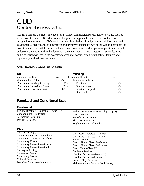# CBD Central Business District

Central Business District is intended for an office, commercial, residential, or civic use located in the downtown area. Site development regulations applicable to a CBD district use are designed to: ensure that a CBD use is compatible with the cultural, commercial, historical, and governmental significance of downtown and preserves selected views of the Capitol; promote the downtown area as a vital commercial retail area; create a network of pleasant public spaces and pedestrian amenities within the downtown area; enhance existing structures, historic features, and circulation patterns in the downtown area; and, consider significant natural features and topography in the downtown area.

## **Site Development Standards**

| Lot                                       |      | <b>Massing</b>                                             |     |
|-------------------------------------------|------|------------------------------------------------------------|-----|
| Minimum Lot Size                          | n/a  | Maximum Height                                             | n/a |
| Minimum Lot Width                         | n/a  | Minimum Setbacks                                           |     |
| Maximum Building Coverage                 | 100% | Front yard                                                 | n/a |
| Maximum Impervious Cover                  | 100% | Street side yard                                           | n/a |
| Maximum Floor Area Ratio                  | 8:1  | Interior side yard                                         | n/a |
|                                           |      | Rear yard                                                  | n/a |
| <b>Permitted and Conditional Uses</b>     |      |                                                            |     |
| <b>Residential</b>                        |      |                                                            |     |
| Bed and Breakfast Residential (Group I) * |      | Bed and Breakfast Residential (Group 2) *                  |     |
| Condominium Residential                   |      | Group Residential                                          |     |
| Townhouse Residential *                   |      | Multifamily Residential                                    |     |
| Duplex Residential *                      |      | <b>Short-Term Rentals</b>                                  |     |
|                                           |      | Single-Family Residential *                                |     |
| <b>Civic</b>                              |      |                                                            |     |
| Club or Lodge $(c)$                       |      |                                                            |     |
|                                           |      |                                                            |     |
| College and University Facilities *       |      | Day Care Services-General                                  |     |
| Communication Service Facilities *        |      | Day Care Services-Limited                                  |     |
| Community Events *                        |      | Family Home *                                              |     |
| Community Recreation-Private *            |      | Group Home Class I-General *                               |     |
| Community Recreation-Public <sup>*</sup>  |      | Group Home Class I-Limited *                               |     |
| Congregate Living                         |      | Group Home Class II <sup>*</sup>                           |     |
| <b>Convention Center</b>                  |      | <b>Guidance Services</b>                                   |     |
| <b>Counseling Services</b>                |      | Hospital Services—General (c)                              |     |
| <b>Cultural Services</b>                  |      | Hospital Services-Limited<br><b>Local Utility Services</b> |     |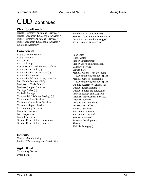# CBD (continued)

#### **Civic (continued)**

Private Primary Educational Services \* Private Secondary Educational Services \* Public Primary Educational Services \* Public Secondary Educational Services \* Religious Assembly

Residential Treatment Safety Services Telecommunication Tower (PC) \* Transitional Housing (c) Transportation Terminal (c)

#### **Commercial**

Adult-Oriented Business \* Adult Lounge \* Art Gallery Art Workshop Administrative and Business Offices Automotive Rentals (c) Automotive Repair Services (c) Automotive Sales (c) Automotive Washing of any type (c) Bail Bonds Services (PC) Business or Trade School Business Support Services Carriage Stable (c) Cocktail Lounge \* Commercial Off-Street Parking (c) Communications Services Consumer Convenience Services Consumer Repair Services Exterminating Services Financial Services Food Preparation Funeral Services General Retail Sales—Convenience General Retail Sales—General

Food Sales Hotel-Motel Indoor Entertainment Indoor Sports and Recreation Laundry Service Liquor Sales Medical Offices—not exceeding 5,000 sq/ft of gross floor space Medical Offices—exceeding 5,000 sq/ft of gross floor space Off-Site Accessory Parking (c) Outdoor Entertainment (c) Outdoor Sports and Recreation Pedicab Storage and Dispatch Personal Improvement Services Personal Services Printing and Publishing Professional Office Research Services Restaurant—General \* Restaurant—Limited Service Station (c) \* Software Development Theater Vehicle Storage (c)

#### **Industrial**

Custom Manufacturing Limited Warehousing and Distribution

#### **Agricultural**

Community Garden Urban Farm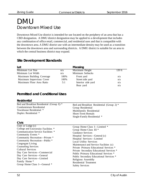# DMU Downtown Mixed Use

Downtown Mixed Use district is intended for use located on the periphery of an area that has a CBD designation. A DMU district designation may be applied to a development that includes any combination of office retail, commercial, and residential uses and that is compatible with the downtown area. A DMU district use with an intermediate density may be used as a transition between the downtown area and surrounding districts. A DMU district is suitable for an area to which the central business district may expand.

## **Site Development Standards**

| Lot                       |      | Massing            |        |
|---------------------------|------|--------------------|--------|
| Minimum Lot Size          | n/a  | Maximum Height     | 120 ft |
| Minimum Lot Width         | n/a  | Minimum Setbacks   |        |
| Maximum Building Coverage | 100% | Front yard         | n/a    |
| Maximum Impervious Cover  | 100% | Street side yard   | n/a    |
| Maximum Floor Area Ratio  | 5:1  | Interior side yard | n/a    |
|                           |      | Rear yard          | n/a    |

## **Permitted and Conditional Uses**

| <b>Residential</b>                                                                                                                                                                                                                                                                                                                                                                                                  |                                                                                                                                                                                                                                                                                                                                                                                                                                                                                          |
|---------------------------------------------------------------------------------------------------------------------------------------------------------------------------------------------------------------------------------------------------------------------------------------------------------------------------------------------------------------------------------------------------------------------|------------------------------------------------------------------------------------------------------------------------------------------------------------------------------------------------------------------------------------------------------------------------------------------------------------------------------------------------------------------------------------------------------------------------------------------------------------------------------------------|
| Bed and Breakfast Residential (Group I) *<br>Condominium Residential<br>Townhouse Residential *<br>Duplex Residential *                                                                                                                                                                                                                                                                                             | Bed and Breakfast Residential (Group 2) *<br>Group Residential<br>Multifamily Residential<br><b>Short-Term Rentals</b><br>Single-Family Residential *                                                                                                                                                                                                                                                                                                                                    |
| Civic                                                                                                                                                                                                                                                                                                                                                                                                               |                                                                                                                                                                                                                                                                                                                                                                                                                                                                                          |
| Club or Lodge $(c)$<br>College and University Facilities *<br>Communication Service Facilities *<br>Community Events *<br>Community Recreation-Private *<br>Community Recreation-Public *<br>Congregate Living<br><b>Counseling Services</b><br><b>Cultural Services</b><br>Day Care Services—Commercial<br>Day Care Services—General<br>Day Care Services—Limited<br>Family Home *<br>Group Home Class I—General * | Group Home Class I—Limited *<br>Group Home Class II <sup>*</sup><br>Guidance Services<br>Hospital Services—General (c)<br>Hospital Services-Limited<br><b>Local Utility Services</b><br>Maintenance and Service Facilities (c)<br>Private Primary Educational Services *<br>Private Secondary Educational Services *<br>Public Primary Educational Services *<br>Public Secondary Educational Services *<br>Religious Assembly<br><b>Residential Treatment</b><br><b>Safety Services</b> |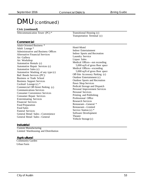# DMU (continued)

#### **Civic (continued)**

Telecommunication Tower (PC) \* Transitional Housing (c)

#### **Commercial**

Adult-Oriented Business \* Adult Lounge \* Administrative and Business Offices Alternative Financial Services Art Gallery Art Workshop Automotive Rentals (c) Automotive Repair Services (c) Automotive Sales (c) Automotive Washing of any type (c) Bail Bonds Services (PC) Business or Trade School Business Support Services Cocktail Lounge (c) \* Commercial Off-Street Parking (c) Communications Services Consumer Convenience Services Consumer Repair Services Exterminating Services Financial Services Food Preparation Food Sales Funeral Services General Retail Sales—Convenience General Retail Sales—General

Transportation Terminal (c)

Hotel-Motel Indoor Entertainment Indoor Sports and Recreation Laundry Service Liquor Sales Medical Offices—not exceeding 5,000 sq/ft of gross floor space Medical Offices—exceeding 5,000 sq/ft of gross floor space Off-Site Accessory Parking (c) Outdoor Entertainment (c) Outdoor Sports and Recreation Pawn Shop Services Pedicab Storage and Dispatch Personal Improvement Services Personal Services Printing and Publishing Professional Office Research Services Restaurant—General \* Restaurant—Limited Service Station (c) \* Software Development Theater Vehicle Storage (c)

#### **Industrial**

Custom Manufacturing Limited Warehousing and Distribution

#### **Agricultural**

 Community Garden Urban Farm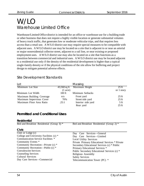# W/LO Warehouse Limited Office

Warehouse/Limited Office district is intended for an office or warehouse use for a building trade or other business that does not require a highly visible location or generate substantial volumes of heavy truck traffic, that generates low or moderate vehicular trips, and that requires less access than a retail use. A W/LO district use may require special measures to be compatible with adjacent uses. A W/LO district use may be located on a site that is adjacent to or near an arterial or major nonresidential collector street, adjacent to a rail line, or near existing or proposed employment uses. A W/LO district use may also be located on a site that functions as a transition between commercial and industrial uses. A W/LO district use may be located adjacent to a residential use only if the density of the residential development is higher than a typical single-family density or if the physical conditions of the site allow for buffering and project design to mitigate potential adverse effects.

| Lot                       |                    | Massing                     |                 |
|---------------------------|--------------------|-----------------------------|-----------------|
| Minimum Lot Size          |                    | 43,560 sq ft Maximum Height | $25$ ft         |
|                           | $(1 \text{ acre})$ |                             | or 1 story      |
| Minimum Lot Width         | $100$ ft           | Minimum Setbacks            |                 |
| Maximum Building Coverage | n/a                | Front yard                  | $25 \text{ ft}$ |
| Maximum Impervious Cover  | 70%                | Street side yard            | $25 \text{ ft}$ |
| Maximum Floor Area Ratio  | .25:1              | Interior side yard          | 5 <sub>ft</sub> |
|                           |                    | Rear yard                   | $25 \text{ ft}$ |

### Site Development Standards

## **Permitted and Conditional Uses**

#### **Residential** Bed and Breakfast Residential (Group I) \* Bed and Breakfast Residential (Group 2) \* **Civic** Club or Lodge (c) College and University Facilities (c) \* Communication Service Facilities \* Community Events \* Community Recreation—Private (c) \* Community Recreation—Public (c) \* Convalescent Services Counseling Services Cultural Services Day Care Services—Commercial Day Care Services—General Day Care Services—Limited Local Utility Services Private Primary Educational Services \* Private Secondary Educational Services (c) \* Public Primary Educational Services \* Public Secondary Educational Services (c) \* Religious Assembly Safety Services Telecommunication Tower (PC) \*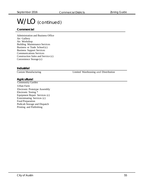# W/LO (continued)

#### **Commercial**

Administration and Business Office Art Gallery Art Workshop Building Maintenance Services Business or Trade School (c) Business Support Services Communications Services Construction Sales and Service (c) Convenience Storage (c)

#### **Industrial**

Custom Manufacturing Limited Warehousing and Distribution

#### **Agricultural**

 Community Garden Urban Farm Electronic Prototype Assembly Electronic Testing \* Equipment Repair Services (c) Exterminating Services (c) Food Preparation Pedicab Storage and Dispatch Printing and Publishing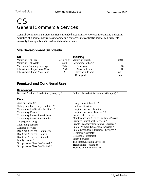# CS General Commercial Services

General Commercial Services district is intended predominately for commercial and industrial activities of a service nature having operating characteristics or traffic service requirements generally incompatible with residential environments.

## **Site Development Standards**

| Lot                              |             | Massing            |         |
|----------------------------------|-------------|--------------------|---------|
| Minimum Lot Size                 | 5,750 sq ft | Maximum Height     | $60$ ft |
| Minimum Lot Width                | $50$ ft     | Minimum Setbacks   |         |
| <b>Maximum Building Coverage</b> | 95%         | Front yard         | 10      |
| ft Maximum Impervious Cover      | 95%         | Street side yard   | 10      |
| ft Maximum Floor Area Ratio      | 2:1         | Interior side yard | n/a     |
|                                  |             | Rear yard          | n/a     |

## **Permitted and Conditional Uses**

#### **Residential**

Bed and Breakfast Residential (Group I) \* Bed and Breakfast Residential (Group 2) \*

#### **Civic**

| Club or Lodge (c)                   | Group Home Class II <sup>*</sup>           |
|-------------------------------------|--------------------------------------------|
| College and University Facilities * | Guidance Services                          |
| Communication Service Facilities *  | Hospital Service-Limited                   |
| Community Events *                  | Hospital Services—General (c)              |
| Community Recreation-Private *      | <b>Local Utility Services</b>              |
| Community Recreation-Public *       | Maintenance and Service Facilities Private |
| Congregate Living                   | Primary Educational Services *             |
| <b>Counseling Services</b>          | Private Secondary Educational Services *   |
| <b>Cultural Services</b>            | Public Primary Educational Services *      |
| Day Care Services—Commercial        | Public Secondary Educational Services *    |
| Day Care Services-General           | Religious Assembly                         |
| Day Care Services—Limited           | Residential Treatment                      |
| Family Home *                       | <b>Safety Services</b>                     |
| Group Home Class I—General *        | Telecommunication Tower (pc)               |
| Group Home Class I—Limited *        | Transitional Housing (c)                   |
|                                     | Transportation Terminal (c)                |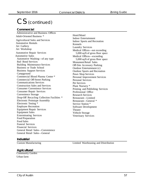# CS (continued)

#### **Commercial**

 Administrative and Business Offices Adult-Oriented Business \* Agricultural Sales and Services Automotive Rentals Art Gallery Art Workshop Automotive Repair Services Automotive Sales Automotive Washing—of any type Bail Bond Services Building Maintenance Services Business or Trade School Business Support Services Campground Commercial Blood Plasma Center \* Commercial Off-Street Parking Communications Services Construction Sales and Services Consumer Convenience Services Consumer Repair Services Convenience Storage Drop-Off Recycling Collection Facilities \* Electronic Prototype Assembly Electronic Testing \* Employee Recreation Equipment Repair Services Equipment Sales Exterminating Services Food Preparation Food Sales Funeral Services Financial Services General Retail Sales—Convenience General Retail Sales—General

#### Hotel/Motel Indoor Entertainment Indoor Sports and Recreation Kennels Laundry Services Medical Offices—not exceeding 5,000 sq/ft of gross floor space Medical Offices—exceeding 5,000 sq/ft of gross floor space Monument Retail Sales Off-Site Accessory Parking Outdoor Entertainment (c) Outdoor Sports and Recreation Pawn Shop Services Personal Improvement Services Personal Services Pet Services Plant Nursery \* Printing and Publishing Services Professional Office Research Services Restaurant—Limited Restaurant—General \* Service Station \* Software Development Theater Vehicle Storage

#### **Industrial**

Custom Manufacturing Limited Warehousing and Distribution

Veterinary Services

#### **Agricultural**

 Community Garden Urban farm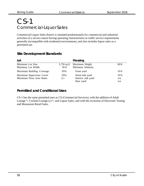# CS-1 Commercial-Liquor Sales

Commercial Liquor Sales district is intended predominately for commercial and industrial activities of a service nature having operating characteristics or traffic service requirements generally incompatible with residential environments, and also includes liquor sales as a permitted use.

| Lot                                                  |                        | Massing                                             |                                |
|------------------------------------------------------|------------------------|-----------------------------------------------------|--------------------------------|
| Minimum Lot Size<br>Minimum Lot Width                | $5,750$ sq ft<br>50 ft | Maximum Height<br>Minimum Setbacks                  | $60$ ft                        |
| Maximum Building Coverage                            | 95%                    | Front yard                                          | 10 <sub>ft</sub>               |
| Maximum Impervious Cover<br>Maximum Floor Area Ratio | 95%<br>2:1             | Street side yard<br>Interior side yard<br>Rear yard | 10 <sub>ft</sub><br>n/a<br>n/a |

## **Site Development Standards**

## **Permitted and Conditional Uses**

CS-1 has the same permitted uses as CS (Commercial Services), with the addition of Adult Lounge \*, Cocktail Lounge (c) \*, and Liquor Sales, and with the exclusion of Electronic Testing and Monument Retail Sales.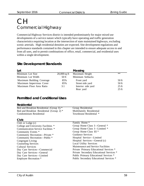# CH Commercial Highway

Commercial Highway Services district is intended predominately for major mixed use developments of a service nature which typically have operating and traffic generation characteristics requiring location at the intersection of state maintained highways, excluding scenic arterials. High residential densities are expected. Site development regulations and performance standards contained in this chapter are intended to ensure adequate access to and from all uses, and to permit combinations of office, retail, commercial, and residential uses within a single development.

## **Site Development Standards**

| Lot                                       |                | Massing                                  |         |
|-------------------------------------------|----------------|------------------------------------------|---------|
| Minimum Lot Size                          | $20,000$ sq ft | Maximum Height                           | $**$    |
| Minimum Lot Width                         | $50$ ft        | Minimum Setbacks                         |         |
| Maximum Building Coverage                 | 85%            | Front yard                               | $50$ ft |
| Maximum Impervious Cover                  | 85%            | Street side yard                         | $50$ ft |
| Maximum Floor Area Ratio                  | 3:1            | Interior side yard                       | $25$ ft |
|                                           |                | Rear yard                                | $25$ ft |
| <b>Permitted and Conditional Uses</b>     |                |                                          |         |
| <b>Residential</b>                        |                |                                          |         |
| Bed and Breakfast Residential (Group I) * |                | Group Residential                        |         |
| Bed and Breakfast Residential (Group 2) * |                | Multifamily Residential                  |         |
| Condominium Residential                   |                | Townhouse Residential *                  |         |
| <b>Civic</b>                              |                |                                          |         |
| Club or $\text{Lodge}(c)$                 |                | Family Home *                            |         |
| College and University Facilities *       |                | Group Home Class I-General *             |         |
| Communication Service Facilities *        |                | Group Home Class I—Limited *             |         |
| Community Events *                        |                | Group Home Class II <sup>*</sup>         |         |
| Community Recreation-Private *            |                | <b>Guidance Services</b>                 |         |
| Community Recreation-Public <sup>*</sup>  |                | Hospital Service-Limited                 |         |
| Congregate Living                         |                | Hospital Services—General (c)            |         |
| <b>Counseling Services</b>                |                | <b>Local Utility Services</b>            |         |
| <b>Cultural Services</b>                  |                | Maintenance and Service Facilities       |         |
| Day Care Services-Commercial              |                | Private Primary Educational Services *   |         |
| Day Care Services-General                 |                | Private Secondary Educational Services * |         |
| Day Care Services-Limited                 |                | Public Primary Educational Services *    |         |
| <b>Employee Recreation *</b>              |                | Public Secondary Educational Services *  |         |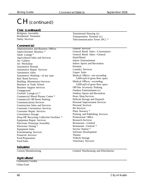# CH (continued)

#### **Civic (continued)**

Religious Assembly Residential Treatment Safety Services

#### **Commercial**

Administrative and Business Offices Adult-Oriented Business \* Adult Lounge \* Agricultural Sales and Services Art Gallery Art Workshop Automotive Rentals Automotive Repair Services Automotive Sales Automotive Washing—of any type Bail Bond Services Building Maintenance Services Business or Trade School Business Support Services Campground Cocktail Lounge (c) \* Commercial Blood Plasma Center \* Commercial Off-Street Parking Communications Services Construction Sales and Services Consumer Convenience Services Consumer Repair Services Convenience Storage Drop-Off Recycling Collection Facilities \* Equipment Repair Services Electronic Prototype Assembly Electronic Testing \* Equipment Sales Exterminating Services Financial Services Food Preparation Food Sales

Transitional Housing (c) Transportation Terminal (c) Telecommunication Tower (PC) \*

#### Funeral Services

General Retail Sales—Convenience General Retail Sales—General Hotel/Motel Indoor Entertainment Indoor Sports and Recreation Kennels Laundry Services Liquor Sales Medical Offices—not exceeding 5,000 sq/ft of gross floor space Medical Offices—exceeding 5,000 sq/ft of gross floor space Off-Site Accessory Parking Outdoor Entertainment (c) Outdoor Sports and Recreation Pawn Shop Services Pedicab Storage and Dispatch Personal Improvement Services Personal Services Pet Services Plant Nursery \* Printing and Publishing Services Professional Office Research Services Restaurant—Limited Restaurant—General \* Service Station \* Software Development Theater Vehicle Storage Veterinary Services

#### **Industrial**

Custom Manufacturing Limited Warehousing and Distribution

#### **Agricultural**

 Community Garden Urban Farm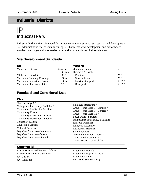# **Industrial Districts**

# IP Industrial Park

Industrial Park district is intended for limited commercial service use, research and development use, administrative use, or manufacturing use that meets strict development and performance standards and is generally located on a large site or in a planned industrial center.

### **Site Development Standards**

| Lot                       |          | Massing                     |                 |
|---------------------------|----------|-----------------------------|-----------------|
| Minimum Lot Size          |          | 43,560 sq ft Maximum Height | 60 ft           |
|                           |          | (1 acre) Minimum Setbacks   |                 |
| Minimum Lot Width         | $100$ ft | Front yard                  | $25 \text{ ft}$ |
| Maximum Building Coverage | 50%      | Street side yard            | $25 \text{ ft}$ |
| Maximum Impervious Cover  | 80%      | Interior side yard          | $50$ ft**       |
| Maximum Floor Area Ratio  | 1:1      | Rear yard                   | 50 ft**         |

### **Permitted and Conditional Uses**

#### **Civic**

#### **Commercial**

Administrative and Business Offices Agricultural Sales and Services Art Gallery Art Workshop

Automotive Rentals Automotive Repair Services Automotive Sales Bail Bond Services (PC)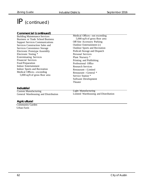# IP (continued)

#### **Commercial (continued)**

Building Maintenance Services Business or Trade School Business Support Services Communications Services Construction Sales and Services Convenience Storage Electronic Prototype Assembly Electronic Testing \* Exterminating Services Financial Services Food Preparation Indoor Entertainment Indoor Sports and Recreation Medical Offices—exceeding 5,000 sq/ft of gross floor area

Medical Offices—not exceeding 5,000 sq/ft of gross floor area Off-Site Accessory Parking Outdoor Entertainment (c) Outdoor Sports and Recreation Pedicab Storage and Dispatch Personal Services Plant Nursery \* Printing and Publishing Professional Office Research Services Restaurant—Limited Restaurant—General \* Service Station \* Software Development Theater

#### **Industrial**

Custom Manufacturing General Warehousing and Distribution Light Manufacturing Limited Warehousing and Distribution

#### **Agricultural**

 Community Garden Urban Farm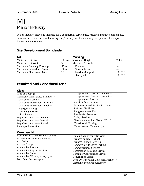# MI Major Industry

Major Industry district is intended for a commercial service use, research and development use, administrative use, or manufacturing use generally located on a large site planned for major industrial development.

## **Site Development Standards**

| Lot                       |          | <b>Massing</b>          |           |
|---------------------------|----------|-------------------------|-----------|
| Minimum Lot Size          |          | 50 acres Maximum Height | 120 ft    |
| Minimum Lot Width         | $250$ ft | Minimum Setbacks        |           |
| Maximum Building Coverage | 75%      | Front yard              | n/a       |
| Maximum Impervious Cover  | 80%      | Street side yard        | n/a       |
| Maximum Floor Area Ratio  | 1:1      | Interior side yard      | 50 ft**   |
|                           |          | Rear yard               | $50$ ft** |

## **Permitted and Conditional Uses**

#### **Civic**

Club or Lodge (c) Communication Service Facilities \* Community Events \* Community Recreation—Private \* Community Recreation—Public \* Congregate Living Counseling Services Cultural Services Day Care Services—Commercial Day Care Services—General Day Care Services—Limited Employee Recreation \* Group Home Class I—Limited \* Group Home Class I—General \* Group Home Class II \* Local Utility Services Maintenance and Service Facilities Railroad Facilities Religious Assembly Residential Treatment Safety Services Telecommunications Tower (PC) \* Transitional Housing (c) Transportation Terminal (c) **Commercial** Administrative and Business Offices Agricultural Sales and Services Art Gallery Art Workshop Automotive Rentals Automotive Repair Services Automotive Sales Automotive Washing of any type Bail Bond Services (pc) Building Maintenance Services Business or Trade School Business Support Services Commercial Off-Street Parking Communications Services Construction Sales and Services Consumer Convenience Services Convenience Storage Drop-Off Recycling Collection Facility \* Electronic Prototype Assembly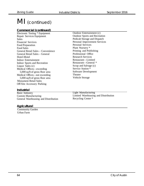# MI (continued)

### **Commercial (continued)**

Electronic Testing \* Equipment Repair Services Equipment Sales Financial Services Food Preparation Food Sales General Retail Sales – Convenience General Retail Sales – General Hotel-Motel Indoor Entertainment Indoor Sports and Recreation Liquor Sales (c) Medical Offices—exceeding 5,000 sq/ft of gross floor area Medical Offices—not exceeding 5,000 sq/ft of gross floor area Monument Retail Sales Off-Site Accessory Parking

Outdoor Entertainment (c) Outdoor Sports and Recreation Pedicab Storage and Dispatch Personal Improvement Services Personal Services Plant Nursery \* Printing and Publishing Professional Office Research Services Restaurant—Limited Restaurant—General \* Scrap and Salvage (c) Service Station \* Software Development Theater Vehicle Storage

#### **Industrial**

Basic Industry Custom Manufacturing General Warehousing and Distribution Light Manufacturing Limited Warehousing and Distribution Recycling Center \*

#### **Agricultural**

 Community Garden Urban Farm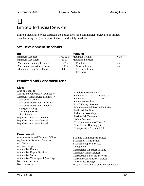# LI Limited Industrial Service

Limited Industrial Service district is the designation for a commercial service use or limited manufacturing use generally located on a moderately sized site.

### **Site Development Standards**

| Lot                       |       | Massing                    |         |
|---------------------------|-------|----------------------------|---------|
| Minimum Lot Size          |       | 5,750 sq ft Maximum Height | $60$ ft |
| Minimum Lot Width         | 50 ft | Minimum Setbacks           |         |
| Maximum Building Coverage | 75%   | Front yard                 | n/a     |
| Maximum Impervious Covera | 80%   | Street side yard           | n/a     |
| Maximum Floor Area Ratio  | 1:1   | Interior side yard         |         |
|                           |       | Rear yard                  |         |

## **Permitted and Conditional Uses**

#### **Civic**

| Club or Lodge $(c)$<br>College and University Facilities *<br>Communication Service Facilities *<br>Community Events *<br>Community Recreation-Private *<br>Community Recreation-Public *<br>Congregate Living<br><b>Counseling Services</b><br><b>Cultural Services</b><br>Day Care Services—Commercial<br>Day Care Services-General<br>Day Care Services-Limited | <b>Employee Recreation *</b><br>Group Home Class I—Limited *<br>Group Home Class I-General *<br>Group Home Class II <sup>*</sup><br><b>Local Utility Services</b><br>Maintenance and Service Facilities<br><b>Railroad Facilities</b><br>Religious Assembly<br><b>Residential Treatment</b><br><b>Safety Services</b><br>Telecommunications Tower *<br>Transitional Housing (c)<br>Transportation Terminal (c) |
|--------------------------------------------------------------------------------------------------------------------------------------------------------------------------------------------------------------------------------------------------------------------------------------------------------------------------------------------------------------------|----------------------------------------------------------------------------------------------------------------------------------------------------------------------------------------------------------------------------------------------------------------------------------------------------------------------------------------------------------------------------------------------------------------|
| Commercial                                                                                                                                                                                                                                                                                                                                                         |                                                                                                                                                                                                                                                                                                                                                                                                                |
| Administrative and Business Offices                                                                                                                                                                                                                                                                                                                                | <b>Building Maintenance Services</b>                                                                                                                                                                                                                                                                                                                                                                           |
| <b>Agricultural Sales and Services</b>                                                                                                                                                                                                                                                                                                                             | <b>Business or Trade School</b>                                                                                                                                                                                                                                                                                                                                                                                |
| Art Gallery                                                                                                                                                                                                                                                                                                                                                        | <b>Business Support Services</b>                                                                                                                                                                                                                                                                                                                                                                               |
| Art Workshop                                                                                                                                                                                                                                                                                                                                                       | Campground                                                                                                                                                                                                                                                                                                                                                                                                     |
| <b>Automotive Rentals</b>                                                                                                                                                                                                                                                                                                                                          | <b>Commercial Off-Street Parking</b>                                                                                                                                                                                                                                                                                                                                                                           |
| <b>Automotive Repair Services</b>                                                                                                                                                                                                                                                                                                                                  | <b>Communications Services</b>                                                                                                                                                                                                                                                                                                                                                                                 |
| <b>Automotive Sales</b>                                                                                                                                                                                                                                                                                                                                            | <b>Construction Sales and Services</b>                                                                                                                                                                                                                                                                                                                                                                         |
| Automotive Washing—of Any Type<br><b>Bail Bond Services</b>                                                                                                                                                                                                                                                                                                        | <b>Consumer Convenience Services</b><br>Convenience Storage                                                                                                                                                                                                                                                                                                                                                    |

Drop-Off Recycling Collection Facilities \*

Basic Industry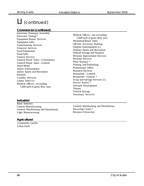# LI (continued)

### **Commercial (continued)**

Electronic Prototype Assembly Electronic Testing \* Equipment Repair Services Equipment Sales Exterminating Services Financial Services Food Preparation Food Sales Funeral Services General Retail Sales—Convenience General Retail Sales—General Hotel-Motel Indoor Entertainment Indoor Sports and Recreation Kennels Laundry Services Liquor Sales (c) Medical Offices—exceeding 5,000 sq/ft of gross floor area

Medical Offices—not exceeding 5,000 sq/ft of gross floor area Monument Retail Sales Off-Site Accessory Parking Outdoor Entertainment (c) Outdoor Sports and Recreation Pedicab Storage and Dispatch Personal Improvement Services Personal Services Plant Nursery \* Printing and Publishing Professional Office Research Services Restaurant—Limited Restaurant—General \* Scrap and Salvage Services (c) Service Station \* Software Development Theater Vehicle Storage Veterinary Services

#### **Industrial**

Basic Industry Custom Manufacturing General Warehousing and Distribution Light Manufacturing

Limited Warehousing and Distribution Recycling Center \* Resource Extraction

#### **Agricultural**

 Community Garden Urban Farm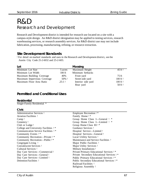# R&D Research and Development

Research and Development district is intended for research use located on a site with a campus-style design. An R&D district designation may be applied to testing services, research warehousing services, or research assembly services. An R&D district use may not include fabrication, processing, manufacturing, refining, or resource extraction.

### **Site Development Standards**

† For detail on marked standards and uses in the Research and Development district, see the Austin City Code 25-2-6032 and 25-2-603.

| Lot                         |                | Massing            |                    |
|-----------------------------|----------------|--------------------|--------------------|
| Minimum Lot Size            | 5 acres        | Maximum Height     | 45 ft †            |
| Minimum Lot Width           | $100$ ft       | Minimum Setbacks   |                    |
| Maximum Building Coverage   | 40%            | Front yard         | 75 ft              |
| Maximum Impervious Coverage | $50\%$ †       | Street side yard   | $100 \text{ ft}$ † |
| Maximum Floor Area Ratio    | $.25:1\dagger$ | Interior side yard | $100 \text{ ft}$ † |
|                             |                | Rear yard          | $50$ ft $\dagger$  |

## **Permitted and Conditional Uses**

#### **Residential**

Single-Family Residential \*

| . .<br>v | ۰, |
|----------|----|

| Administrative Services †                     | Employee Recreation $\dagger$ *                    |
|-----------------------------------------------|----------------------------------------------------|
| <b>Aviation Facilities</b> †                  | Family Home $\dagger$ *                            |
| $Camp \dagger$                                | Group Home Class I—General † *                     |
| Cemetery †                                    | Group Home Class I—Limited † *                     |
| Club or Lodge $\dagger$                       | Group Home Class $II^*$                            |
| College and University Facilities $\dagger$ * | Guidance Services †                                |
| Communication Service Facilities †*           | Hospital Service—Limited †                         |
| Community Events $\dagger$ *                  | Hospital Services—General †                        |
| Community Recreation—Private †*               | Local Utility Services †                           |
| Community Recreation-Public †*                | Maintenance and Service Facilities †               |
| Congregate Living †                           | Major Public Facilities †                          |
| Convalescent Services †                       | Major Utility Services †                           |
| Cultural Services †                           | Military Installations †                           |
| Day Care Services—Commercial †                | Private Primary Educational Services †*            |
| Day Care Services—General †                   | Private Secondary Educational Services $\dagger$ * |
| Day Care Services—Limited †                   | Public Primary Educational Services †*             |
| Detention Facilities †                        | Public Secondary Educational Services $\dagger$ *  |
|                                               | Railroad Facilities                                |
|                                               | Religious Assembly †                               |
|                                               |                                                    |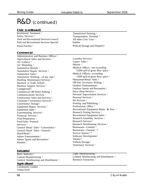# R&D (continued)

| Civic (continued) |
|-------------------|
|                   |

Residential Treatment † Safety Services † Park and Recreational Services-General† Park and Recreational Services-Special† Stables Postal Facility †

Transitional Housing † Transportation Terminal † All other Civic Uses † Pedicab Storage and Dispatch †

#### **Commercial**

Administrative and Business Offices † Agricultural Sales and Services † Art Gallery † Art Workshop † Automotive Rentals † Automotive Repair Services † Automotive Sales † Automotive Washing—of any type † Building Maintenance Services † Business or Trade School † Business Support Services † Campground † Commercial Off-Street Parking † Communications Services † Construction Sales and Services † Consumer Convenience Services † Convenience Storage † Equipment Repair Services † Equipment Sales † Exterminating Services † Financial Services † Food Preparation † Food Sales † Funeral Services † General Retail Sales—Convenience † General Retail Sales—General † Hotel/Motel † Indoor Entertainment † Indoor Sports and Recreation † Kennels †

Laundry Services † Liquor Sales † Marina † Medical Offices—not exceeding 5,000 sq/ft of gross floor space † Medical Offices—exceeding 5,000 sq/ft of gross floor space † Monument Retail Sales † Off-Site Accessory Parking † Outdoor Entertainment † Outdoor Sports and Recreation † Pawn Shop Services † Personal Improvement Services † Personal Services † Pet Services † Printing and Publishing † Professional Office † Recreational Equipment Maint. & Stor. † Research Testing Services † Recreational Equipment Sales † Research Assembly Services † Research Services † Research Warehousing Services † Restaurant—Limited † Restaurant—General † \* Service Station † \* Software Development † Theater † Vehicle Storage † Veterinary Services †

#### **Industrial**

Basic Industry † Custom Manufacturing † General Warehousing and Distribution †

#### **Agricultural**

 Community Garden Urban Farm

Light Manufacturing † Limited Warehousing and Distribution † Resource Extraction †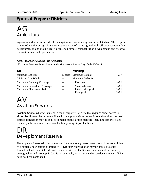## **Special Purpose Districts**

# $AG$ **Agricultural**

Agricultural district is intended for an agriculture use or an agriculture-related use. The purpose of the AG district designation is to preserve areas of prime agricultural soils, concentrate urban development in and around growth centers, promote compact urban development, and preserve the environment and open spaces.

## **Site Development Standards**

† For more detail on the Agricultural district, see the Austin City Code 25-2-621.

| Lot                                                     | Massing                                |                      |
|---------------------------------------------------------|----------------------------------------|----------------------|
| Minimum Lot Size                                        | 10 acres Maximum Height                | $60$ ft              |
| Minimum Lot Width                                       | Minimum Setbacks                       |                      |
| Maximum Building Coverage                               | Front yard                             | $100 \text{ ft}$     |
| Maximum Impervious Coverage<br>Maximum Floor Area Ratio | Street side yard<br>Interior side yard | $100$ ft<br>$100$ ft |
|                                                         | Rear yard                              | $100$ ft             |

# AV Aviation Services

Aviation Services district is intended for an airport-related use that requires direct access to airport facilities or that is compatible with or supports airport operations and services. An AV district designation may be applied to major public airport facilities, including airport-related uses on public lands and on private lands adjoining airport facilities.

# DR. Deveploment Reserve

Development Reserve district is intended for a temporary use or a use that will not commit land to a particular use pattern or intensity. A DR district designation may be applied to a use located on land for which: adequate public services or facilities are not available; economic, demographic, and geographic data is not available; or land use and urban development policies have not been completed.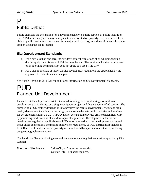# P Public District

Public district is the designation for a governmental, civic, public service, or public institution use. A P district designation may be applied to a use located on property used or reserved for a civic or public institutional purpose or for a major public facility, regardless of ownership of the land on which the use is located.

## **Site Development Standards**

- a. For a site less than one acre, the site development regulations of an adjoining zoning district apply for a distance of 100 feet into the site. The minimum lot size requirement of an adjoining zoning district does not apply to a use by the City.
- b. For a site of one acre or more, the site development regulations are established by the approval of a conditional use site plan.

See Austin City Code 25-2-624 for additional information on Site Development Standards.

# PUD Planned Unit Development

Planned Unit Development district is intended for a large or complex single or multi-use development that is planned as a single contiguous project and that is under unified control. The purpose of a PUD district designation is to preserve the natural environment, encourage high quality development and innovative design, and ensure adequate public facilities and services for development within a PUD. A PUD district designation provides greater design flexibility by permitting modifications of site development regulations. Development under the site development regulations applicable to a PUD must be superior to the development that would occur under conventional zoning and subdivision regulations. A PUD district must include at least 10 acres of land, unless the property is characterized by special circumstances, including unique topographic constraints.

The Land Use Plan establishing uses and site development regulations must be approve by City Council.

Minimum Site Areas: Inside City - 10 acres recommended. Outside City - 250 acres required.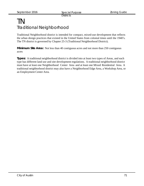### TN Traditional Neighborhood

Traditional Neighborhood district is intended for compact, mixed-use development that reflects the urban design practices that existed in the United States from colonial times until the 1940's. The TN district is governed by Chapter 25-3 (Traditional Neighborhood District).

**Minimum Site Area:** Not less than 40 contiguous acres and not more than 250 contiguous acres

**Types:** A traditional neighborhood district is divided into at least two types of Areas, and each type has different land use and site development regulations. A traditional neighborhood district must have at least one Neighborhood Center Area and at least one Mixed Residential Area. A traditional neighborhood district may also have a Neighborhood Edge Area, a Workshop Area, or an Employment Center Area.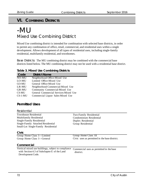### **VI. COMBINING DISTRICTS**

### -MU Mixed Use Combining District

Mixed Use combining district is intended for combination with selected base districts, in order to permit any combination of office, retail, commercial, and residential uses within a single development. Allows development of all types of residential uses, including single-family residential, multifamily residential, and townhomes.

Base Districts: The MU combining district may be combined with the commercial base districts listed below. The MU combining district may not be used with a residential base district.

#### **Table 3. Mixed Use Combining Districts**

| Code         | <b>District Name</b>                  |
|--------------|---------------------------------------|
| NO-MU        | Neighborhood Office-Mixed Use         |
| LO-MU        | Limited Office-Mixed Use              |
| GO-MU        | General Office-Mixed Use              |
| LR-MU        | Neighborhood Commercial-Mixed Use     |
| <b>GR-MU</b> | Community Commercial-Mixed Use        |
| CS-MU        | General Commercial Services-Mixed Use |
| $CS-1-MU$    | Commercial Liquor Sales-Mixed Use     |

#### **Permitted Uses**

| Residential                                         |                                               |  |
|-----------------------------------------------------|-----------------------------------------------|--|
| <b>Townhouse Residential</b>                        | Two-Family Residential                        |  |
| <b>Multifamily Residential</b>                      | Condominium Residential                       |  |
| Single-Family Residential                           | Duplex Residential                            |  |
| Single-Family Attached Residential                  | Group Residential                             |  |
| Small-Lot Single-Family Residential                 |                                               |  |
| Civic                                               |                                               |  |
| Group Home Class I—Limited                          | Group Home Class II                           |  |
| Group Home Class I—General                          | Civic uses as permitted in the base district. |  |
| Commercial                                          |                                               |  |
| Vertical mixed use buildings, subject to compliance | Commercial uses as permitted in the base      |  |
| with Section 4.3 of Subchapter E of the Land        | district.                                     |  |
| Development Code.                                   |                                               |  |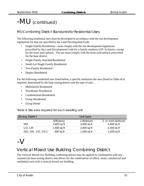# -MU (continued)

#### MU Combining District Standardsfor Residential Uses

The following residential uses must be developed in accordance with the site development regulations for that use specified in the Land Development Code:

- Single-Family Residential—must comply with the site development regulations prescribed by the Land Development Code for a family residence (SF-3) district, except for the front yard setback. The use must comply with the front yard setback prescribed for the base district.
- Single-Family Attached Residential
- Small-Lot Single Family Residential
- Two-Family Residential
- Duplex Residential

For the following residential uses listed below, a specific minimum site area (listed in Table 4) is required, determined by the base zoning district and the type of unit.

- Multifamily Residential
- Townhouse Residential
- Condominium Residential
- Group Residential
- Group Home

Table 4. Site area required for each dwelling unit

| <b>Zoning District</b> |               | Unit type     |                    |
|------------------------|---------------|---------------|--------------------|
|                        | Efficiency    | 1-Bedroom     | 2- or more bedroom |
| <b>NO</b>              | 3,600 sq ft   | $4,000$ sq ft | 4,400 sq ft        |
| LO, LR                 | $1,600$ sq ft | $2,000$ sq ft | $2,400$ sq ft      |
| GO, GR, CS, CS-1       | $800$ sq ft   | $1,000$ sq ft | 1,200 sq ft        |

# $-V$

### Vertical Mixed Use Building Combining District

The Vertical Mixed Use Building combining district may be applied in combination with any commercial base zoning district and allows for the combination of office, retail, commercial and residential uses with a vertical mixed use building.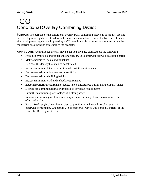### $-$ CO $\cdot$ CO Conditional Overlay Combining District

Purpose: The purpose of the conditional overlay (CO) combining district is to modify use and site development regulations to address the specific circumstances presented by a site. Use and site development regulations imposed by a CO combining district must be more restrictive than the restrictions otherwise applicable to the property.

Application: A conditional overlay may be applied any base district to do the following:

- Prohibit permitted, conditional and/or accessory uses otherwise allowed in a base district.
- Make a permitted use a conditional use
- Decrease the density that may be constructed
- Increase minimum lot size or minimum lot width requirements
- Decrease maximum floor to area ratio (FAR)
- Decrease maximum building heights
- Increase minimum yard and setback requirements
- Establish buffering requirement (hedge, fence, undisturbed buffer along property lines)
- Decrease maximum building or impervious coverage requirements
- Limit the maximum square footage of building space
- Restrict access to adjacent roads and require specific design features to minimize the effects of traffic
- For a mixed use (MU) combining district, prohibit or make conditional a use that is otherwise permitted by Chapter 25-2, Subchapter E (Mixed Use Zoning Districts) of the Land Use Development Code.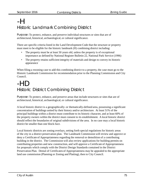# -H Historic Landmark Combining District

Purpose: To protect, enhance, and preserve individual structures or sites that are of architectural, historical, archaeological, or cultural significance.

There are specific criteria listed in the Land Development Code that the structure or property must meet to be eligible for the historic landmark (H) combining district including:

- The property must be at least 50 years old, unless the property is of exceptional importance as defined by National Register Bulletin 22, National Park Service (1996)
- The property retains sufficient integrity of materials and design to convey its historic appearance

When filing a rezoning case to add this combining district to a property, the case must go to the Historic Landmark Commission for recommendation prior to the Planning Commission and City Council.

# -HD Historic District Combining District

Purpose: To protect, enhance, and preserve areas that include structures or sites that are of architectural, historical, archaeological, or cultural significance.

A local historic district is a geographically- or thematically-defined area, possessing a significant concentration of buildings united by their history and/or architecture. At least 51% of the principal buildings within a district must contribute to its historic character, and at least 60% of the property owners within the district must consent to its establishment. A local historic district should reflect the boundaries of original subdivisions of the area. In no case may a local historic district be smaller than one block-face.

Local historic districts are zoning overlays, setting forth special regulations for historic areas of the city in a district preservation plan. The Landmark Commission will review and approve or deny a Certificate of Appropriateness regarding the removal or demolition of a contributing building in the district. The Commission will also review applications for building permits on contributing properties and new construction, and will approve a Certificate of Appropriateness for proposals which comply with the District Design Standards contained in the District Preservation Plan. Denial of Certificates of Appropriateness may be appealed to the appropriate land use commission (Planning or Zoning and Platting), then to City Council.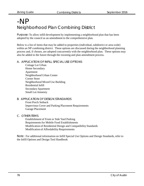## -NP Neighborhood Plan Combining District

Purpose: To allow infill development by implementing a neighborhood plan that has been adopted by the council as an amendment to the comprehensive plan.

Below is a list of items that may be added to properties (individual, subdistrict or area-wide) within an NP combining district. These options are discussed during the neighborhood planning process and, if chosen, are adopted concurrently with the neighborhood plan. These options may also be added in the future through the rezoning and plan amendment process.

A. APPLICATION OF INFILL SPECIAL USE OPTIONS

Cottage Lot Urban Home Secondary Apartment Neighborhood Urban Center Corner Store Neighborhood Mixed Use Building Residential Infill SecondaryApartment Small Lot Amnesty

B. APPLICATION OF DESIGN STANDARDS

Front Porch Setback Impervious Cover and Parking Placement Requirements Garage Placement

C. OTHER ITEMS

Establishment of Front or Side Yard Parking Requirements for Mobile Food Establishments Modification of Residential Design and Compatibility Standards Modification of Affordability Requirements

Note: For additional information on Infill Special Use Options and Design Standards, refer to the Infill Options and Design Tool Handbook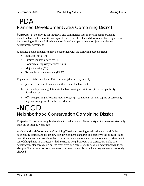# -PDA Planned Development Area Combining District

Purpose: (1) To provide for industrial and commercial uses in certain commercial and industrial base districts; or (2) incorporate the terms of a planned development area agreement into a zoning ordinance following annexation of a property that is subject to a planned development agreement.

A planned development area may be combined with the following base districts:

- Industrial park (IP)
- Limited industrial services (LI)
- Commercial highway services (CH)
- Major industry (MI)
- Research and development (R&D)

Regulations established by a PDA combining district may modify:

- a. permitted or conditional uses authorized in the base district;
- b. site development regulations in the base zoning district except for Compatibility Standards; or
- c. off-street parking or loading regulations, sign regulations, or landscaping or screening regulations applicable in the base district.

### -NCCD Neighborhood Conservation Combining District

Purpose: To preserve neighborhoods with distinctive architectural styles that were substantially built out at least 30 years ago.

A Neighborhood Conservation Combining District is a zoning overlay that can modify the base zoning district and create new site development standards and prescrive the allowable and conditional uses in an area in order to promote new development, redevelopment, or significant remodeling that is in character with the existing neighborhood. The district can make site development standards more or less restrictive or create new site development standards. It can also prohibit or limit uses or allow uses in a base zoning district where they were not previously allowed.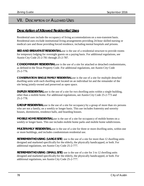### VII. DESCRIPTION OF ALLOWED USES

#### **Description of Allowed Residential Uses**

Residential uses include the occupancy of living accommodations on a non-transient basis. Residential uses exclude institutional living arrangements providing 24-hour skilled nursing or medical care and those providing forced residence, including mental hospitals and prisons.

**BED AND BREAKFAST RESIDENTIAL** use is the use of a residential structure to provide rooms for temporary lodging for overnight guests on a paying basis. For additional regulations, see Austin City Code 25-2-781 through 25-2-787.

**CONDOMINIUM RESIDENTIAL** use is the use of a site for attached or detached condominiums, as defined in the Texas Property Code. For additional regulations, see Austin City Code 25-2-776.

**CONSERVATION SINGLE FAMILY RESIDENTIAL** use is the use of a site for multiple detached dwelling units with each dwelling unit located on an individual lot and the remainder of the site being jointly-owned and preserved as open space.

**DUPLEX RESIDENTIAL** use is the use of a site for two dwelling units within a single building, other than a mobile home. For additional regulations, see Austin City Code 25-2-773 and 25-2-778.

**GROUP RESIDENTIAL** use is the use of a site for occupancy by a group of more than six persons who are not a family, on a weekly or longer basis. This use includes fraternity and sorority houses, dormitories, residence halls, and boarding houses.

**MOBILE HOME RESIDENTIAL** use is the use of a site for occupancy of mobile homes on a weekly or longer basis. This use includes mobile home parks and mobile home subdivisions.

**MULTIFAMILY RESIDENTIAL** use is the use of a site for three or more dwelling units, within one or more buildings, and includes condominium residential use.

**RETIREMENT HOUSING (LARGE SITE**) use is the use of a site for more than 12 dwelling units designed and marketed specifically for the elderly, the physically handicapped, or both. For additional regulations, see Austin City Code 25-2-777.

**RETIREMENT HOUSING (SMALL SITE)** use is the use of a site for 3 to 12 dwelling units designed and marketed specifically for the elderly, the physically handicapped, or both. For additional regulations, see Austin City Code 25-2-777.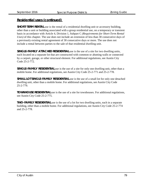#### **Residential uses (continued)**

**SHORT-TERM RENTAL** use is the rental of a residential dwelling unit or accessory building, other than a unit or building associated with a group residential use, on a temporary or transient basis in accordance with Article 4, Division 1, Subpart C *(Requirements for Short-Term Rental Uses)* of this chapter. The use does not include an extension of less than 30 consecutive days of a previously existing rental agreement of 30 consecutive days or more. The use does not include a rental between parties to the sale of that residential dwelling unit.

**SINGLE-FAMILY ATTACHED RESIDENTIAL** use is the use of a site for two dwelling units, each located on a separate lot that are constructed with common or abutting walls or connected by a carport, garage, or other structural element. For additional regulations, see Austin City Code 25-2-772.

**SINGLE-FAMILY RESIDENTIAL** use is the use of a site for only one dwelling unit, other than a mobile home. For additional regulations, see Austin City Code 25-2-771 and 25-2-778.

**SMALL LOT SINGLE-FAMILY RESIDENTIAL** use is the use of a small lot for only one detached dwelling unit, other than a mobile home. For additional regulations, see Austin City Code 25-2-779.

**TOWNHOUSE RESIDENTIAL** use is the use of a site for townhouses. For additional regulations, see Austin City Code 25-2-775.

**TWO-FAMILY RESIDENTIAL** use is the use of a lot for two dwelling units, each in a separate building, other than a mobile home. For additional regulations, see Austin City Code 25-2-774 and 25-2-778.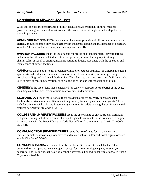#### **Description of Allowed Civic Uses**

Civic uses include the performance of utility, educational, recreational, cultural, medical, protective, and governmental functions, and other uses that are strongly vested with public or social importance.

**ADMINISTRATIVE SERVICES** use is the use of a site for provision of offices or administrative, clerical, or public contact services, together with incidental storage and maintenance of necessary vehicles. This use includes federal, state, county, and city offices.

**AVIATION FACILITIES** use is the use of a site for provision of landing fields, aircraft parking and service facilities, and related facilities for operation, service, fueling, repair, storage, charter, sales, or rental of aircraft, including activities directly associated with the operation and maintenance of airport facilities.

**CAMP** use is the use of a site for provision of indoor or outdoor activities for children, including sports, arts and crafts, entertainment, recreation, educational activities, swimming, fishing, horseback riding, and incidental food service. If incidental to the camp use, camp facilities may be used to provide meeting, recreation, or social facilities for a private association or group.

**CEMETERY** is the use of land that is dedicated for cemetery purposes for the burial of the dead, including columbariums, crematoriums, mausoleums, and mortuaries.

**CLUB OR LODGE** use is the use of a site for provision of meeting, recreational, or social facilities by a private or nonprofit association, primarily for use by members and guests. This use includes private social clubs and fraternal organizations. For additional regulations in residential districts, see Austin City Code 25-2-836.

**COLLEGE AND UNIVERSITY FACILITIES** use is the use of a site as an educational institution of higher learning that offers a course of study designed to culminate in the issuance of a degree in accordance with the Texas Education Code. For additional regulations, see Austin City Code 25-2-831.

**COMMUNICATION SERVICE FACILITIES** use is the use of a site for the transmission, transfer, or distribution of telephone service and related activities. For additional regulations, see Austin City Code 25-2-804.

**COMMUNITY EVENTS** use is a use described in Local Government Code Chapter 334 as permitted for an "approved venue project", except for a hotel, zoological park, museum, or aquarium. The use includes the sale of alcoholic beverages. For additional regulations, see Austin City Code 25-2-842.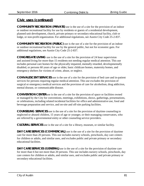**COMMUNITY RECREATION (PRIVATE)** use is the use of a site for the provision of an indoor or outdoor recreational facility for use by residents or guests of a residential development, planned unit development, church, private primary or secondary educational facility, club or lodge, or non-profit organization. For additional regulations, see Austin City Code 25-2-837.

**COMMUNITY RECREATION (PUBLIC)** use is the use of a site for the provision of an indoor or outdoor recreational facility for use by the general public, but not for economic gain. For additional regulations, see Austin City Code 25-2-837.

**CONGREGATE LIVING** use is the use of a site for the provision of 24 hour supervision and assisted living for more than 15 residents not needing regular medical attention. This use includes personal care homes for the physically impaired, mentally retarded, developmentally disabled, or persons 60 years of age or older, basic childcare homes, maternity homes, and emergency shelters for victims of crime, abuse, or neglect.

**CONVALESCENT SERVICES** use is the use of a site for the provision of bed care and in-patient services for persons requiring regular medical attention. This use excludes the provision of surgical or emergency medical services and the provision of care for alcoholism, drug addiction, mental disease, or communicable disease.

**CONVENTION CENTER** use is the use of a site for the provision of space or facilities owned or managed by the City for conventions, meetings, exhibitions, shows, gatherings, presentations, or celebrations, including related incidental facilities for office and administrative use, food and beverage preparation and service, and on-site and off-site parking facilities.

**COUNSELING SERVICES** use is the use of a site for the provision of daytime counseling to neglected or abused children, 15 years of age or younger, or their managing conservators, who are referred by a governmental entity or other counseling service providers.

**CULTURAL SERVICES** use is the use of a site for a library, museum, or similar facility.

**DAY CARE SERVICES (COMMERCIAL)** use is the use of a site for the provision of daytime care for more than 20 persons. This use includes nursery schools, preschools, day care centers for children or adults, and similar uses, and excludes public and private primary or secondary educational facilities.

**DAY CARE SERVICES (GENERAL)** use is the use of a site for the provision of daytime care for more than 6 but not more than 20 persons. This use includes nursery schools, preschools, day care centers for children or adults, and similar uses, and excludes public and private primary or secondary educational facilities.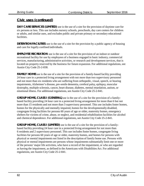**DAY CARE SERVICES (LIMITED)** use is the use of a site for the provision of daytime care for six persons or less. This use includes nursery schools, preschools, day care centers for children or adults, and similar uses, and excludes public and private primary or secondary educational facilities.

**DETENTION FACILITIES** use is the use of a site for the provision by a public agency of housing and care for legally confined individuals.

**EMPLOYEE RECREATION** use is the use of a site for the provision of an indoor or outdoor recreational facility for use by employees of a business engaged in basic industry, commercial services, manufacturing, administrative activities, or research and development services, that is located on property reserved by the business for future expansion. For additional regulations, see Austin City Code 25-2-838.

**FAMILY HOME** use is the use of a site for the provision of a family-based facility providing 24 hour care in a protected living arrangement with not more than two supervisory personnel and not more than six residents who are suffering from orthopedic, visual, speech, or hearing impairments, Alzheimer's disease, pre-senile dementia, cerebral palsy, epilepsy, muscular dystrophy, multiple sclerosis, cancer, heart disease, diabetes, mental retardation, autism, or emotional illness. For additional regulations, see Austin City Code 25-2-841.

**GROUP HOME, CLASS I (GENERAL)** use is the use of a site for the provision of a familybased facility providing 24 hour care in a protected living arrangement for more than 6 but not more than 15 residents and not more than 3 supervisory personnel. This use includes foster homes, homes for the physically and mentally impaired, homes for the developmentally disabled, congregate living facilities for persons 60 years of age or older, maternity homes, emergency shelters for victims of crime, abuse, or neglect, and residential rehabilitation facilities for alcohol and chemical dependence. For additional regulations, see Austin City Code 25-2-841.

**GROUP HOME, CLASS I (LIMITED)** use is the use of a site for the provision of a familybased facility providing 24 hour care in a protected living arrangement for not more than 6 residents and 2 supervisory personnel. This use includes foster homes, congregate living facilities for persons 60 years of age or older, maternity homes, and homes for persons with physical or mental impairments not listed in the description of family home use. Persons with physical or mental impairments are persons whose impairments substantially limit one or more of the persons' major life activities, who have a record of the impairment, or who are regarded as having the impairment, as defined in the Americans with Disabilities Act. For additional regulations, see Austin City Code 25-2-841.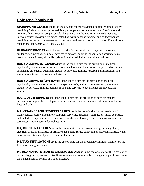**GROUP HOME, CLASS II** use is the use of a site for the provision of a family-based facility providing 24-hour care in a protected living arrangement for not more than 15 residents and not more than 3 supervisory personnel. This use includes homes for juvenile delinquents, halfway houses providing residence instead of institutional sentencing, and halfway houses providing residence to those needing correctional and mental institutionalization. For additional regulations, see Austin City Code 25-2-841.

**GUIDANCE SERVICES** use is the use of a site for the provision of daytime counseling, guidance, recuperative, or similar services to persons requiring rehabilitation assistance as a result of mental illness, alcoholism, detention, drug addiction, or similar condition.

**HOSPITAL SERVICES (GENERAL)** use is the use of a site for the provision of medical, psychiatric, or surgical services on an in-patient basis, and includes ancillary facilities for outpatient and emergency treatment, diagnostic services, training, research, administration, and services to patients, employees, and visitors.

**HOSPITAL SERVICES (LIMITED)** use is the use of a site for the provision of medical, psychiatric, or surgical services on an out-patient basis, and includes emergency treatment, diagnostic services, training, administration, and services to out-patients, employees, and visitors.

**LOCAL UTILITY SERVICES** use is the use of a site for the provision of services that are necessary to support the development in the area and involve only minor structures including lines and poles.

**MAINTENANCE AND SERVICE FACILITIES** use is the use of a site for the provision of maintenance, repair, vehicular or equipment servicing, material storage, or similar activities, and includes equipment service centers and similar uses having characteristics of commercial services, contracting, or industrial activities.

**MAJOR UTILITY FACILITIES** use is the use of a site for the provision of generating plants, electrical switching facilities or primary substations, refuse collection or disposal facilities, water or wastewater treatment plants, or similar facilities.

**MILITARY INSTALLATIONS** use is the use of a site for the provision of military facilities by the federal or state government.

**PARKS AND RECREATION SERVICES (GENERAL)** use is the use of a site for the provision of parks, playgrounds, recreation facilities, or open spaces available to the general public and under the management or control of a public agency.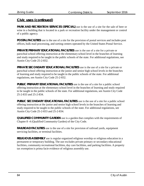**PARK AND RECREATION SERVICES (SPECIAL)** use is the use of a site for the sale of beer or wine in a building that is located in a park or recreation facility under the management or control of a public agency.

**POSTAL FACILITIES** use is the use of a site for the provision of postal services and includes post offices, bulk mail processing, and sorting centers operated by the United States Postal Service.

**PRIVATE PRIMARY EDUCATIONAL FACILITIES** use is the use of a site for a private or parochial school offering instruction at the elementary school level in the branches of learning and study required to be taught in the public schools of the state. For additional regulations, see Austin City Code 25-2-832.

**PRIVATE SECONDARY EDUCATIONAL FACILITIES** use is the use of a site for a private or parochial school offering instruction at the junior and senior high school levels in the branches of learning and study required to be taught in the public schools of the state. For additional regulations, see Austin City Code 25-2-832.

**PUBLIC PRIMARY EDUCATIONAL FACILITIES** use is the use of a site for a public school offering instruction at the elementary school level in the branches of learning and study required to be taught in the public schools of the state. For additional regulations, see Austin City Code 25-2-833 and 25-2-834.

**PUBLIC SECONDARY EDUCATIONAL FACILITIES** use is the use of a site for a public school offering instruction at the junior and senior high school levels in the branches of learning and study required to be taught in the public schools of the state. For additional regulations, see Austin City Code 25-2-833 and 25-2-834.

**QUALIFIED COMMUNITY GARDEN** use is a garden that complies with the requirements of Chapter 8 -4 (Qualified Community Garden) of the City Code.

**RAILROAD FACILITIES** use is the use of a site for provision of railroad yards, equipment servicing facilities, or terminal facilities.

**RELIGIOUS ASSEMBLY** use is regular organized religious worship or religious education in a permanent or temporary building. The use excludes private primary or secondary educational facilities, community recreational facilities, day care facilities, and parking facilities. A property tax exemption is prima facie evidence of religious assembly use.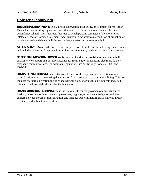**RESIDENTIAL TREATMENT** use is 24-hour supervision, counseling, or treatment for more than 15 residents not needing regular medical attention. This use includes alcohol and chemical dependency rehabilitation facilities, facilities to which persons convicted of alcohol or drugrelated offenses are ordered to remain under custodial supervision as a condition of probation or parole, and residential care facilities and halfway houses for the emotionally ill.

**SAFETY SERVICES** use is the use of a site for provision of public safety and emergency services, and includes police and fire protection services and emergency medical and ambulance services.

**TELECOMMUNICATION TOWER** use is the use of a site for provision of a structure built exclusively to support one or more antennae for receiving or transmitting electronic data or telephone communications. For additional regulations, see Austin City Code 25-2-839 and 25-2-840.

**TRANSITIONAL HOUSING** use is the use of a site for the supervision or detention of more than 15 residents who are making the transition from institutional to community living. This use includes pre-parole detention facilities and halfway houses for juvenile delinquents and adult offenders, and overnight shelters for the homeless.

**TRANSPORTATION TERMINAL** use is the use of a site for the provision of a facility for the loading, unloading, or interchange of passengers, baggage, or incidental freight or package express between modes of transportation, and includes bus terminals, railroad stations, airport terminals, and public transit facilities.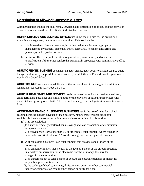#### **Description of Allowed Commercial Uses**

Commercial uses include the sale, rental, servicing, and distribution of goods, and the provision of services, other than those classified as industrial or civic uses.

**ADMINISTRATIVE AND BUSINESS OFFICES** use is the use of a site for the provision of executive, management, or administrative services. This use includes:

- a. administrative offices and services, including real estate, insurance, property management, investment, personnel, travel, secretarial, telephone answering, and photocopy and reproduction; and
- b. business offices for public utilities, organizations, associations, and other use classificationsif the service rendered is customarily associated with administrative office services.

**ADULT-ORIENTED BUSINESS** use means an adult arcade, adult bookstore, adult cabaret, adult lounge, adult novelty shop, adult service business, or adult theater. For additional regulations, see Austin City Code 25-2-801.

**ADULT LOUNGE** use means an adult cabaret that serves alcoholic beverages. For additional regulations, see Austin City Code 25-2-801.

**AGRICULTURAL SALES AND SERVICES** use is the use of a site for the on-site sale of feed, grain, fertilizers, pesticides and similar goods, or the provision of agricultural services with incidental storage of goods off-site. This use includes hay, feed, and grain stores and tree service firms.

**ALTERNATIVE FINANCIAL SERVICES BUSINESSES** use is the use of a site for a check cashing business, payday advance or loan business, money transfer business, motor vehicle title loan business, or a credit access business as defined in this section.

- (a) This use excludes:
	- (1) a state or federally chartered bank, savings and loan association or credit union, or a pawnshop, and
	- (2) a convenience store, supermarket, or other retail establishment where consumer retail sales constitute at least 75% of the total gross revenue generated on site.
- (b) A check cashing business is an establishment that provides one or more of the following:
	- (1) an amount of money that is equal to the face of a check or the amount specified in a written authorization for an electronic transfer of money, less any fee charged for the transaction;
	- (2) an agreement not to cash a check or execute an electronic transfer of money for a specified period of time; or
	- (3) the cashing of checks, warrants, drafts, money orders, or other commercial paper for compensation by any other person or entity for a fee.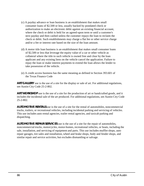- (c) A payday advance or loan business is an establishment that makes small consumer loans of \$2,500 or less, usually backed by postdated check or authorization to make an electronic debit against an existing financial account, where the check or debit is held for an agreed-upon term or until a customer's next payday and then cashed unless the customer repays the loan to reclaim the check or debit. Such establishments may charge a flat fee or other service charge and/or a fee or interest rate based on the size of the loan amount.
- (d) A motor title loan business is an establishment that makes small consumer loans of \$2,500 or less that leverage the equity value of a car or other vehicle as collateral where the title to such vehicle is owned free and clear by the loan applicant and any existing liens on the vehicle cancel the application. Failure to repay the loan or make interest payments to extend the loan allows the lender to take possession of the vehicle.
- (e) A credit access business has the same meaning as defined in Section 393.601 of the Texas Finance Code

**ART GALLERY** use is the use of a site for the display or sale of art. For additional regulations, see Austin City Code 25-2-802.

**ART WORKSHOP** use is the use of a site for the production of art or handcrafted goods, and it includes the incidental sale of the art produced. For additional regulations, see Austin City Code 25-2-802.

**AUTOMOTIVE RENTALS** use is the use of a site for the rental of automobiles, noncommercial trucks, trailers, or recreational vehicles, including incidental parking and servicing of vehicles. This use includes auto rental agencies, trailer rental agencies, and taxicab parking and dispatching.

**AUTOMOTIVE REPAIR SERVICES** use is the use of a site for the repair of automobiles, noncommercial trucks, motorcycles, motor-homes, recreational vehicles, or boats, including the sale, installation, and servicing of equipment and parts. This use includes muffler shops, auto repair garages, tire sales and installation, wheel and brake shops, body and fender shops, and similar repair and service activities, but excludes dismantling or salvage.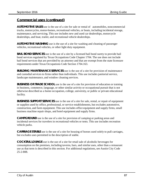**AUTOMOTIVE SALES** use is the use of a site for sale or rental of automobiles, noncommercial trucks, motorcycles, motor-homes, recreational vehicles, or boats, including incidental storage, maintenance, and servicing. This use includes new and used car dealerships, motorcycle dealerships, and boat, trailer, and recreational vehicle dealerships.

**AUTOMOTIVE WASHING** use is the use of a site for washing and cleaning of passenger vehicles, recreational vehicles, or other light duty equipment.

**BAIL BOND SERVICES** use is the use of a site by a licensed bail bond surety to provide bail bond services regulated by Texas Occupations Code Chapter 1704. The use does not include bail bond services that are provided by an attorney and that are exempt from the state licensure requirements under Texas Occupations Code Section 1704.163.

**BUILDING MAINTENANCE SERVICES** use is the use of a site for provision of maintenance and custodial services to firms rather than individuals. This use includes janitorial service, landscape maintenance, and window cleaning services.

**BUSINESS OR TRADE SCHOOL** use is the use of a site for provision of education or training in business, commerce, language, or other similar activity or occupational pursuit that is not otherwise described as a home occupation, college, university, or public or private educational facility.

**BUSINESS SUPPORT SERVICES** use is the use of a site for sale, rental, or repair of equipment or supplies used by office, professional, or service establishments, but excludes automotive, construction, and farm equipment. This use includes office equipment and supply firms, small business machine repair shops, and hotel equipment and supply firms.

**CAMPGROUND** use is the use of a site for provision of camping or parking areas and incidental services for travelers in recreational vehicles or tents. This use includes recreation vehicle parks.

**CARRIAGE STABLE** use is the use of a site for housing of horses used solely to pull carriages, but excludes uses permitted in the description of stable.

**COCKTAIL LOUNGE** use is the use of a site for retail sale of alcoholic beverages for consumption on the premises, including taverns, bars, and similar uses, other than a restaurant use as that term is described in this section. For additional regulations, see Austin City Code 25-2-808.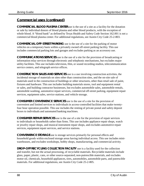**COMMERCIAL BLOOD PLASMA CENTER** use is the use of a site as a facility for the donation or sale by individual donors of blood plasma and other blood products, with the exception of whole blood. A "blood bank" as defined by Texas Health and Safety Code Section 162.001 is not a commercial blood plasma center. For additional regulations, see Austin City Code 25-2-803.

**COMMERCIAL OFF-STREET PARKING** use is the use of a site for the parking of motor vehicles on a temporary basis within a privately owned off-street parking facility. This use includes commercial parking lots and garages and excludes parking as an accessory use.

**COMMUNICATIONS SERVICES** use is the use of a site for the provision of broadcasting or information relay services through electronic and telephonic mechanisms, but excludes major utility facilities. This use includes television, film, or sound recording studios, telecommunication service centers, and telegraph service offices.

**CONSTRUCTION SALES AND SERVICES** use is a use involving construction activities, the incidental storage of materials on sites other than construction sites, and the on-site sale of materials used in the construction of buildings or other structures, other than retail sale of paint, fixtures and hardware. This use includes building materials stores, tool and equipment rental or sales, and building contractor businesses, but excludes automobile sales, automobile rentals, automobile washing, automotive repair services, commercial off-street parking, equipment repair services, equipment sales, service stations, and vehicle storage.

**CONSUMER CONVENIENCE SERVICES** use is the use of a site for the provision of convenient and limited services to individuals in access-controlled facilities that make twentyfour hour operation possible. This use includes the renting of private postal and safety deposit boxes to individuals and automated banking machines.

**CONSUMER REPAIR SERVICES** use is the use of a site for the provision of repair services to individuals or households rather than firms. This use includes appliance repair shops, watch or jewelry repair shops, and musical instrument repair shops, and excludes automotive repair services, equipment repair services, and service stations.

**CONVENIENCE STORAGE** use is storage services primarily for personal effects and household goods within enclosed storage areas having individual access. This use includes miniwarehouses, and excludes workshops, hobby shops, manufacturing, and commercial activity.

**DROP-OFF RECYCLING COLLECTION FACILITY** use is a facility used for the collection and transfer, but not the actual processing, of recyclable materials. Recyclable materials include glass, paper, plastic, cans, or other source-separated, non-putrescible materials, and excludes motor oil, chemicals, household appliances, tires, automobiles, automobile parts, and putrescible materials. For additional regulations, see Austin City Code 25-2-805.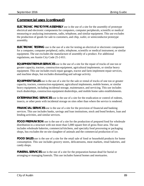**ELECTRONIC PROTOTYPE ASSEMBLY** use is the use of a site for the assembly of prototype electrical and electronic components for computers, computer peripherals, scientific or medical measuring or analyzing instruments, radio, telephone, and similar equipment. This use excludes the production of goods for sale to customers, and chip, wafer, or semiconductor prototype assembly.

**ELECTRONIC TESTING** use is the use of a site for testing an electrical or electronic component for a computer, computer peripheral, radio, telephone, scientific or medical instrument, or similar equipment. The use excludes the manufacture of assembly of a product. For additional regulations, see Austin City Code 25-2-811.

**EQUIPMENT REPAIR SERVICES** use is the use of a site for the repair of trucks of one ton or greater capacity, tractors, construction equipment, agricultural implements, or similar heavy equipment. This use includes truck repair garages, tractor and farm implement repair services, and machine shops, but excludes dismantling and salvage activity.

**EQUIPMENT SALES** use is the use of a site for the sale or rental of trucks of one ton or greater capacity, tractors, construction equipment, agricultural implements, mobile homes, or similar heavy equipment, including incidental storage, maintenance, and servicing. This use includes truck dealerships, construction equipment dealerships, and mobile home sales establishments.

**EXTERMINATING SERVICES** use is the use of a site for the eradication or control of rodents, insects, or other pests with incidental storage on sites other than where the service is rendered.

**FINANCIAL SERVICES** use is the use of a site for the provision of financial and banking services. This use includes banks, savings and loan institutions, stock and bond brokers, loan and lending activities, and similar services.

**FOOD PREPARATION** use is the use of a site for the production of prepared food for wholesale distribution in a structure with not more than 5,000 square feet of gross floor area. The use includes wholesale bakeries, commercial kitchens, and specialty food processing or packaging shops, bus excludes the on-site slaughter of animals and the commercial production of ice.

**FOOD SALES** use is the use of a site for the retail sale of food or household products for home consumption. This use includes grocery stores, delicatessens, meat markets, retail bakeries, and candy shops.

**FUNERAL SERVICES** use is the use of a site for the preparation human dead for burial or arranging or managing funerals. This use includes funeral homes and mortuaries.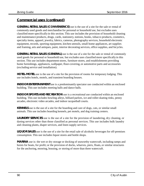**GENERAL RETAIL SALES (CONVENIENCE)** use is the use of a site for the sale or rental of commonly used goods and merchandise for personal or household use, but excludes uses classified more specifically in this section. This use includes the provision of household cleaning and maintenance products, drugs, cards, stationery, notions, books, tobacco products, cosmetics, specialty items, apparel, jewelry, fabrics, cameras, photography services, household electronic equipment, records, sporting equipment, kitchen utensils, small home appliances, art supplies and framing, arts and antiques, paint, interior decorating services, office supplies, and bicycles.

**GENERAL RETAIL SALES (GENERAL)** use is the use of a site for the sale or rental of commonly used goods for personal or household use, but excludes uses classified more specifically in this section. This use includes department stores, furniture stores, and establishments providing home furnishings, appliances, wallpaper, floor-covering, or automotive parts and accessories (excluding service and installation).

**HOTEL-MOTEL** use is the use of a site for the provision of rooms for temporary lodging. This use includes hotels, motels, and transient boarding houses.

**INDOOR ENTERTAINMENT** use is a predominantly spectator use conducted within an enclosed building. This use includes meeting halls and dance halls.

**INDOOR SPORTS AND RECREATION** use is a recreational use conducted within an enclosed building. This use includes bowling alleys, billiard parlors, ice and roller-skating rinks, penny arcades, electronic video arcades, and indoor racquetball courts.

**KENNELS** use is the use of a site for the boarding and care of dogs, cats, or similar small animals. This use includes boarding kennels, pet motels, and dog training centers.

**LAUNDRY SERVICES** use is the use of a site for the provision of laundering, dry cleaning, or dyeing services other than those classified as personal services. This use includes bulk laundry and cleaning plants, diaper services, and linen supply services.

**LIQUOR SALES** use is the use of a site for the retail sale of alcoholic beverages for off-premises consumption. This use includes liquor stores and bottle shops.

**MARINA** use is: the wet or dry storage or docking of seaworthy watercraft, including ramps and hoists for boats, for profit; or the provision of docks, wharves, piers, floats, or similar structures for the anchoring, mooring, housing, or storing of more than three watercraft.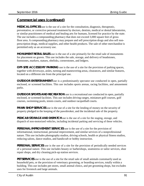**MEDICAL OFFICES** use is the use of a site for the consultation, diagnosis, therapeutic, preventative, or corrective personal treatment by doctors, dentists, medical or dental laboratories, or similar practitioners of medical and healing arts for humans, licensed for practice by the state. The use includes a compounding pharmacy that does not exceed 3,000 square feet of gross floor area. A compounding pharmacy may prepare and sell prescription drugs and also sell nonprescription drugs, medical supplies, and other health products. The sale of other merchandise is permitted only as an accessory use.

**MONUMENT RETAIL SALES** use is the use of a site primarily for the retail sale of monuments for placement on graves. This use includes the sale, storage, and delivery of headstones, footstones, markers, statues, obelisks, cornerstones, and ledgers.

**OFF-SITE ACCESSORY PARKING** use is the use of a site for the provision of parking spaces, together with driveways, aisles, turning and maneuvering areas, clearances, and similar features, located on a different site from the principal use.

**OUTDOOR ENTERTAINMENT** use is a predominantly spectator use conducted in open, partially enclosed, or screened facilities. This use includes sports arenas, racing facilities, and amusement parks.

**OUTDOOR SPORTS AND RECREATION** use is a recreational use conducted in open, partially enclosed, or screened facilities. This use includes driving ranges, miniature golf courses, golf courses, swimming pools, tennis courts, and outdoor racquetball courts.

**PAWN SHOP SERVICES** use is the use of a site for the lending of money on the security of property pledged in the keeping of the pawnbroker, and the incidental sale of the property.

**PEDICAB STORAGE AND DISPATCH** use is the use of a site for the staging, storage, and dispatch of non-motorized vehicles, including incidental parking and servicing of these vehicles.

**PERSONAL IMPROVEMENT SERVICES** use is the use of a site for the provision of informational, instructional, personal improvement, and similar services of a nonprofessional nature. This use includes photography studios, driving schools, health or physical fitness studios, reducing salons, dance studios, and handicraft or hobby instruction.

**PERSONAL SERVICES** use is the use of a site for the provision of periodically needed services of a personal nature. This use includes beauty or barbershops, seamstress or tailor services, shoe repair shops, and dry cleaning pick-up station services.

**PET SERVICES** use is the use of a site for the retail sale of small animals customarily used as household pets, or the provision of veterinary grooming, or boarding services, totally within a building. This use includes pet stores, small animal clinics, and pet grooming shops, but excludes uses for livestock and large animals.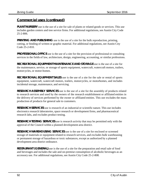**PLANT NURSERY** use is the use of a site for sale of plants or related goods or services. This use includes garden centers and tree service firms. For additional regulations, see Austin City Code 25-2-806.

**PRINTING AND PUBLISHING** use is the use of a site for the bulk reproduction, printing, cutting, or binding of written or graphic material. For additional regulations, see Austin City Code 25-2-810.

**PROFESSIONAL OFFICE** use is the use of a site for the provision of professional or consulting services in the fields of law, architecture, design, engineering, accounting, or similar professions.

**RECREATIONAL EQUIPMENT MAINTENANCE AND STORAGE** use is the use of a site for the maintenance, service, or storage of sports equipment, watercraft, watercraft motors, trailers, motorcycles, or motor-homes.

**RECREATIONAL EQUIPMENT SALES** use is the use of a site for the sale or rental of sports equipment, watercraft, watercraft motors, trailers, motorcycles, or motorhomes, and includes incidental storage, maintenance, and servicing.

**RESEARCH ASSEMBLY SERVICES** use is the use of a site for the assembly of products related to research services and used by the owners of the research establishment or affiliated entities in the delivery of services performed by the owner or affiliated entities. This use excludes the mass production of products for general sale to customers.

**RESEARCH SERVICES** use is research of an industrial or scientific nature. This use includes electronics research laboratories, space research or development firms, and pharmaceutical research labs, and excludes product testing.

**RESEARCH TESTING SERVICES** use is research activity that may be permitted only with the approval of the Council within a planned development area district.

**RESEARCH WAREHOUSING SERVICES** use is the use of a site for enclosed or screened storage of materials or equipment related to research services, and excludes bulk warehousing or permanent storage of hazardous or toxic substances, except as authorized by a planned development area district ordinance.

**RESTAURANT (GENERAL)** use is the use of a site for the preparation and retail sale of food and beverages and includes the sale and on-premise consumption of alcoholic beverages as an accessory use. For additional regulations, see Austin City Code 25-2-808.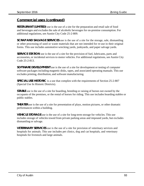**RESTAURANT (LIMITED)** use is the use of a site for the preparation and retail sale of food and beverages and excludes the sale of alcoholic beverages for on-premise consumption. For additional regulations, see Austin City Code 25-2-809.

**SCRAP AND SALVAGE SERVICES** use is the use of a site for the storage, sale, dismantling or other processing of used or waste materials that are not intended for re-use in their original forms. This use includes automotive wrecking yards, junkyards, and paper salvage yards.

**SERVICE STATION** use is the use of a site for the provision of fuel, lubricants, parts and accessories, or incidental services to motor vehicles. For additional regulations, see Austin City Code 25-2-813.

**SOFTWARE DEVELOPMENT** use is the use of a site for development or testing of computer software packages including magnetic disks, tapes, and associated operating manuals. This use excludes printing, distribution, and software manufacturing.

**SPECIAL USE HISTORIC** is a use that complies with the requirements of Section 25-2-807 (Special Use In Historic Districts).

**STABLE** use is the use of a site for boarding, breeding or raising of horses not owned by the occupants of the premises, or the rental of horses for riding. This use includes boarding stables or public stables.

**THEATER** use is the use of a site for presentation of plays, motion pictures, or other dramatic performances within a building.

**VEHICLE STORAGE** use is the use of a site for long-term storage for vehicles. This use includes storage of vehicles towed from private parking areas and impound yards, but excludes dismantling or salvage.

**VETERINARY SERVICES** use is the use of a site for provision of veterinary services and hospitals for animals. This use includes pet clinics, dog and cat hospitals, and veterinary hospitals for livestock and large animals.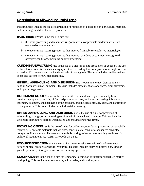#### **Description of Allowed Industrial Uses**

Industrial uses include the on-site extraction or production of goods by non-agricultural methods, and the storage and distribution of products.

**BASIC INDUSTRY** use is the use of a site for:

- a. the basic processing and manufacturing of materials or products predominately from extracted or raw materials;
- b. storage or manufacturing processes that involve flammable or explosive materials; or
- c. storage or manufacturing processes that involve hazardous or commonly recognized offensive conditions, including poultry processing.

**CUSTOM MANUFACTURING** use is the use of a site for on-site production of goods by the use of hand tools, domestic mechanical equipment not exceeding five horsepower, or a single kiln not exceeding 12 kilowatts, and the incidental sale of those goods. This use includes candle- making shops and custom jewelry manufacturing.

**GENERAL WAREHOUSING AND DISTRIBUTION use** is open-air storage, distribution, or handling of materials or equipment. This use includes monument or stone yards, grain elevators, and open storage yards.

**LIGHT MANUFACTURING** use is the use of a site for manufacture, predominantly from previously prepared materials, of finished products or parts, including processing, fabrication, assembly, treatment, and packaging of the products, and incidental storage, sales, and distribution of the products. This use excludes basic industrial processing.

**LIMITED WAREHOUSING AND DISTRIBUTION** use is the use of a site for provision of wholesaling, storage, or warehousing services within an enclosed structure. This use includes wholesale distributors, storage warehouses, and moving or storage firms.

**RECYCLING CENTER** use is the use of a site for collection, transfer, or processing of recyclable materials. Recyclable materials include glass, paper, plastic, cans, or other source-separated, non-putrescible materials. This use excludes bulk or single-feed reverse vending machines. For additional regulations, see Austin City Code 25-2-862.

**RESOURCE EXTRACTION** use is the use of a site for on-site extraction of surface or subsurface mineral products or natural resources. This use includes quarries, borrow pits, sand or gravel operations, oil or gas extraction, and mining operations.

**STOCKYARDS** use is the use of a site for temporary keeping of livestock for slaughter, market, or shipping. This use includes stockyards, animal sales, and auction yards.